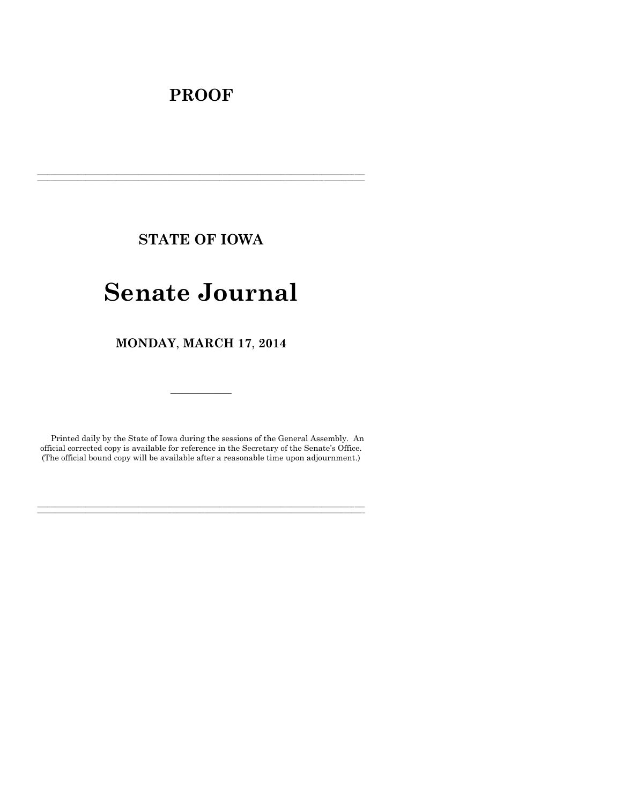# **PROOF**

**STATE OF IOWA**

**\_\_\_\_\_\_\_\_\_\_\_\_\_\_\_\_\_\_\_\_\_\_\_\_\_\_\_\_\_\_\_\_\_\_\_\_\_\_\_\_\_\_\_\_\_\_\_\_\_\_\_\_\_\_\_\_\_\_\_\_\_\_\_\_\_\_\_\_\_\_\_\_\_\_\_\_\_\_\_\_\_\_\_\_\_\_\_\_\_\_\_\_\_\_\_\_\_\_\_\_\_\_\_\_\_\_\_\_\_\_\_\_\_\_\_\_\_\_\_\_\_\_\_\_\_\_\_\_\_ \_\_\_\_\_\_\_\_\_\_\_\_\_\_\_\_\_\_\_\_\_\_\_\_\_\_\_\_\_\_\_\_\_\_\_\_\_\_\_\_\_\_\_\_\_\_\_\_\_\_\_\_\_\_\_\_\_\_\_\_\_\_\_\_\_\_\_\_\_\_\_\_\_\_\_\_\_\_\_\_\_\_\_\_\_\_\_\_\_\_\_\_\_\_\_\_\_\_\_\_\_\_\_\_\_\_\_\_\_\_\_\_\_\_\_\_\_\_\_\_\_\_\_\_\_\_\_\_\_**

# **Senate Journal**

**MONDAY**, **MARCH 17**, **2014**

Printed daily by the State of Iowa during the sessions of the General Assembly. An official corrected copy is available for reference in the Secretary of the Senate's Office. (The official bound copy will be available after a reasonable time upon adjournment.)

**\_\_\_\_\_\_\_\_\_\_\_\_\_\_\_\_\_\_\_\_\_\_\_\_\_\_\_\_\_\_\_\_\_\_\_\_\_\_\_\_\_\_\_\_\_\_\_\_\_\_\_\_\_\_\_\_\_\_\_\_\_\_\_\_\_\_\_\_\_\_\_\_\_\_\_\_\_\_\_\_\_\_\_\_\_\_\_\_\_\_\_\_\_\_\_\_\_\_\_\_\_\_\_\_\_\_\_\_\_\_\_\_\_\_\_\_\_\_\_\_\_\_\_\_\_\_\_\_\_ \_\_\_\_\_\_\_\_\_\_\_\_\_\_\_\_\_\_\_\_\_\_\_\_\_\_\_\_\_\_\_\_\_\_\_\_\_\_\_\_\_\_\_\_\_\_\_\_\_\_\_\_\_\_\_\_\_\_\_\_\_\_\_\_\_\_\_\_\_\_\_\_\_\_\_\_\_\_\_\_\_\_\_\_\_\_\_\_\_\_\_\_\_\_\_\_\_\_\_\_\_\_\_\_\_\_\_\_\_\_\_\_\_\_\_\_\_\_\_\_\_\_\_\_\_\_\_\_\_**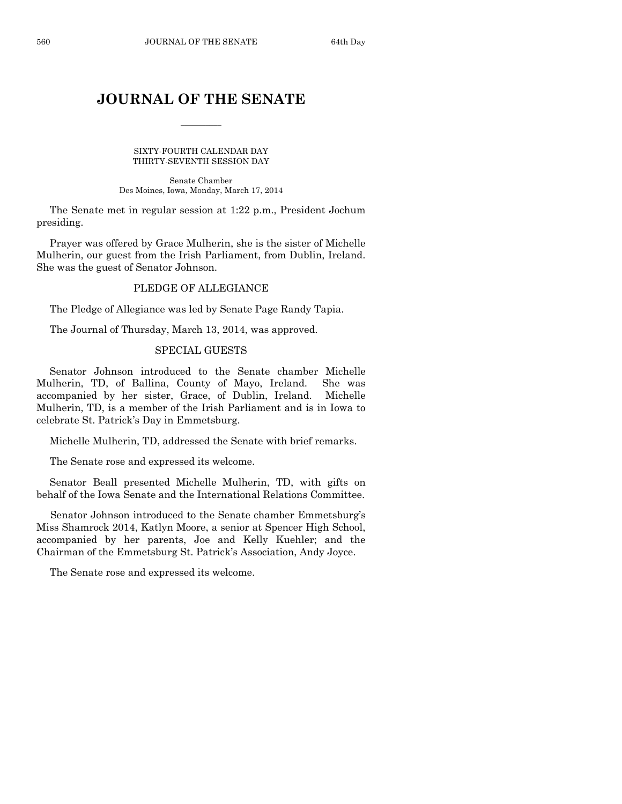# **JOURNAL OF THE SENATE**

 $\overline{\phantom{a}}$ 

SIXTY-FOURTH CALENDAR DAY THIRTY-SEVENTH SESSION DAY

Senate Chamber Des Moines, Iowa, Monday, March 17, 2014

The Senate met in regular session at 1:22 p.m., President Jochum presiding.

Prayer was offered by Grace Mulherin, she is the sister of Michelle Mulherin, our guest from the Irish Parliament, from Dublin, Ireland. She was the guest of Senator Johnson.

# PLEDGE OF ALLEGIANCE

The Pledge of Allegiance was led by Senate Page Randy Tapia.

The Journal of Thursday, March 13, 2014, was approved.

#### SPECIAL GUESTS

Senator Johnson introduced to the Senate chamber Michelle Mulherin, TD, of Ballina, County of Mayo, Ireland. She was accompanied by her sister, Grace, of Dublin, Ireland. Michelle Mulherin, TD, is a member of the Irish Parliament and is in Iowa to celebrate St. Patrick's Day in Emmetsburg.

Michelle Mulherin, TD, addressed the Senate with brief remarks.

The Senate rose and expressed its welcome.

Senator Beall presented Michelle Mulherin, TD, with gifts on behalf of the Iowa Senate and the International Relations Committee.

Senator Johnson introduced to the Senate chamber Emmetsburg's Miss Shamrock 2014, Katlyn Moore, a senior at Spencer High School, accompanied by her parents, Joe and Kelly Kuehler; and the Chairman of the Emmetsburg St. Patrick's Association, Andy Joyce.

The Senate rose and expressed its welcome.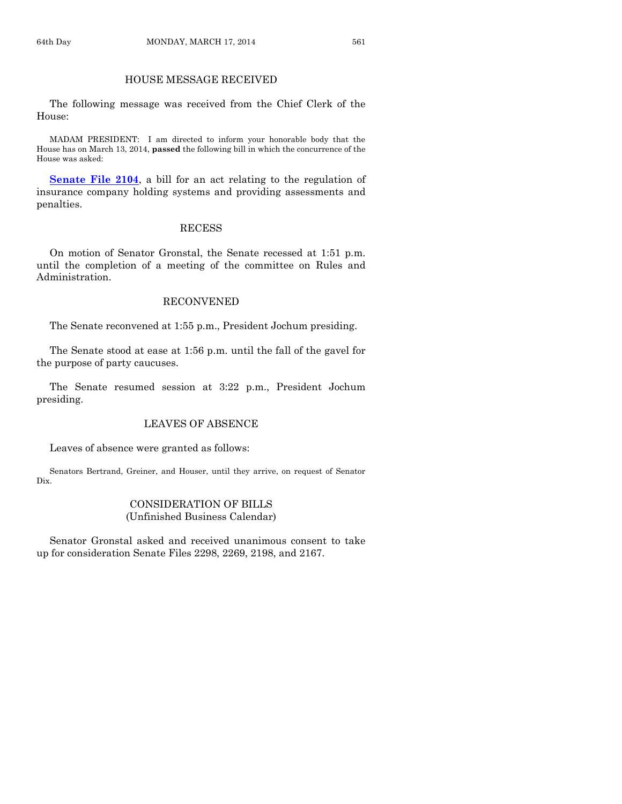# HOUSE MESSAGE RECEIVED

The following message was received from the Chief Clerk of the House:

MADAM PRESIDENT: I am directed to inform your honorable body that the House has on March 13, 2014, **passed** the following bill in which the concurrence of the House was asked:

**[Senate File 2104](http://coolice.legis.iowa.gov/Cool-ICE/default.asp?Category=billinfo&Service=Billbook&frame=1&GA=85&hbill=SF2104)**, a bill for an act relating to the regulation of insurance company holding systems and providing assessments and penalties.

# RECESS

On motion of Senator Gronstal, the Senate recessed at 1:51 p.m. until the completion of a meeting of the committee on Rules and Administration.

# RECONVENED

The Senate reconvened at 1:55 p.m., President Jochum presiding.

The Senate stood at ease at 1:56 p.m. until the fall of the gavel for the purpose of party caucuses.

The Senate resumed session at 3:22 p.m., President Jochum presiding.

## LEAVES OF ABSENCE

Leaves of absence were granted as follows:

Senators Bertrand, Greiner, and Houser, until they arrive, on request of Senator Dix.

#### CONSIDERATION OF BILLS (Unfinished Business Calendar)

Senator Gronstal asked and received unanimous consent to take up for consideration Senate Files 2298, 2269, 2198, and 2167.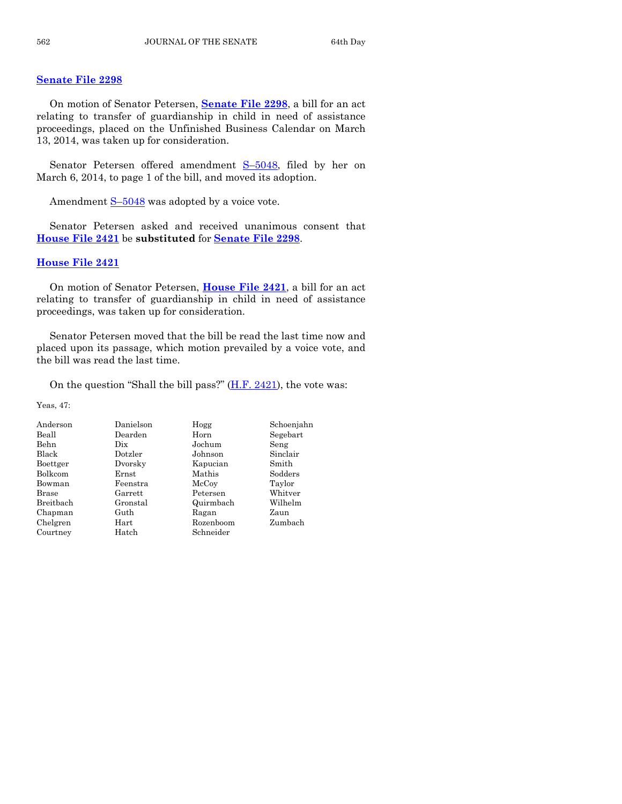#### **[Senate File 2298](http://coolice.legis.iowa.gov/Cool-ICE/default.asp?Category=billinfo&Service=Billbook&frame=1&GA=85&hbill=SF2298)**

On motion of Senator Petersen, **[Senate File 2298](http://coolice.legis.iowa.gov/Cool-ICE/default.asp?Category=billinfo&Service=Billbook&frame=1&GA=85&hbill=SF2298)**, a bill for an act relating to transfer of guardianship in child in need of assistance proceedings, placed on the Unfinished Business Calendar on March 13, 2014, was taken up for consideration.

Senator Petersen offered amendment S–[5048,](http://coolice.legis.iowa.gov/Cool-ICE/default.asp?Category=billinfo&Service=Billbook&frame=1&GA=85&hbill=S5048) filed by her on March 6, 2014, to page 1 of the bill, and moved its adoption.

Amendment  $S-5048$  $S-5048$  was adopted by a voice vote.

Senator Petersen asked and received unanimous consent that **[House File 2421](http://coolice.legis.iowa.gov/Cool-ICE/default.asp?Category=billinfo&Service=Billbook&frame=1&GA=85&hbill=HF2421)** be **substituted** for **[Senate File 2298](http://coolice.legis.iowa.gov/Cool-ICE/default.asp?Category=billinfo&Service=Billbook&frame=1&GA=85&hbill=SF2298)**.

#### **[House File 2421](http://coolice.legis.iowa.gov/Cool-ICE/default.asp?Category=billinfo&Service=Billbook&frame=1&GA=85&hbill=HF2421)**

On motion of Senator Petersen, **[House File 2421](http://coolice.legis.iowa.gov/Cool-ICE/default.asp?Category=billinfo&Service=Billbook&frame=1&GA=85&hbill=HF2421)**, a bill for an act relating to transfer of guardianship in child in need of assistance proceedings, was taken up for consideration.

Senator Petersen moved that the bill be read the last time now and placed upon its passage, which motion prevailed by a voice vote, and the bill was read the last time.

On the question "Shall the bill pass?"  $(H.F. 2421)$ , the vote was:

Yeas, 47:

| Anderson     | Danielson  | Hogg      | Schoenjahn |
|--------------|------------|-----------|------------|
| Beall        | Dearden    | Horn      | Segebart   |
| <b>Behn</b>  | Dix        | Jochum    | Seng       |
| Black        | Dotzler    | Johnson   | Sinclair   |
| Boettger     | Dvorsky    | Kapucian  | Smith      |
| Bolkcom      | Ernst      | Mathis    | Sodders    |
| Bowman       | Feenstra   | McCoy     | Taylor     |
| <b>Brase</b> | Garrett    | Petersen  | Whitver    |
| Breithach    | Gronstal   | Quirmbach | Wilhelm    |
| Chapman      | Guth       | Ragan     | Zaun       |
| Chelgren     | $\rm Hart$ | Rozenboom | Zumbach    |
| Courtney     | Hatch      | Schneider |            |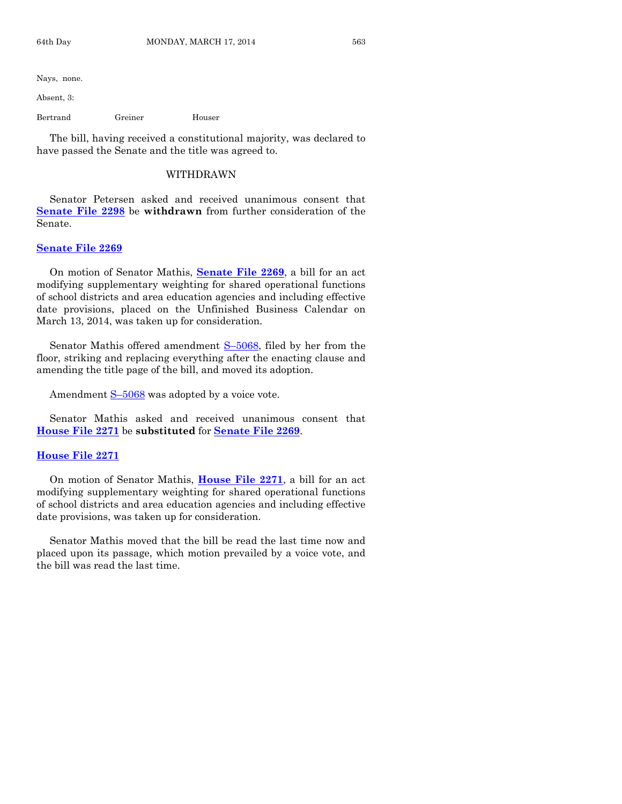Nays, none.

Absent, 3:

Bertrand Greiner Houser

The bill, having received a constitutional majority, was declared to have passed the Senate and the title was agreed to.

#### WITHDRAWN

Senator Petersen asked and received unanimous consent that **[Senate File 2298](http://coolice.legis.iowa.gov/Cool-ICE/default.asp?Category=billinfo&Service=Billbook&frame=1&GA=85&hbill=SF2298)** be **withdrawn** from further consideration of the Senate.

#### **[Senate File 2269](http://coolice.legis.iowa.gov/Cool-ICE/default.asp?Category=billinfo&Service=Billbook&frame=1&GA=85&hbill=SF2269)**

On motion of Senator Mathis, **[Senate File 2269](http://coolice.legis.iowa.gov/Cool-ICE/default.asp?Category=billinfo&Service=Billbook&frame=1&GA=85&hbill=SF2269)**, a bill for an act modifying supplementary weighting for shared operational functions of school districts and area education agencies and including effective date provisions, placed on the Unfinished Business Calendar on March 13, 2014, was taken up for consideration.

Senator Mathis offered amendment S-[5068,](http://coolice.legis.iowa.gov/Cool-ICE/default.asp?Category=billinfo&Service=Billbook&frame=1&GA=85&hbill=S5068) filed by her from the floor, striking and replacing everything after the enacting clause and amending the title page of the bill, and moved its adoption.

Amendment  $S-5068$  $S-5068$  was adopted by a voice vote.

Senator Mathis asked and received unanimous consent that **[House File 2271](http://coolice.legis.iowa.gov/Cool-ICE/default.asp?Category=billinfo&Service=Billbook&frame=1&GA=85&hbill=HF2271)** be **substituted** for **[Senate File 2269](http://coolice.legis.iowa.gov/Cool-ICE/default.asp?Category=billinfo&Service=Billbook&frame=1&GA=85&hbill=SF2269)**.

#### **[House File 2271](http://coolice.legis.iowa.gov/Cool-ICE/default.asp?Category=billinfo&Service=Billbook&frame=1&GA=85&hbill=HF2271)**

On motion of Senator Mathis, **[House File 2271](http://coolice.legis.iowa.gov/Cool-ICE/default.asp?Category=billinfo&Service=Billbook&frame=1&GA=85&hbill=HF2271)**, a bill for an act modifying supplementary weighting for shared operational functions of school districts and area education agencies and including effective date provisions, was taken up for consideration.

Senator Mathis moved that the bill be read the last time now and placed upon its passage, which motion prevailed by a voice vote, and the bill was read the last time.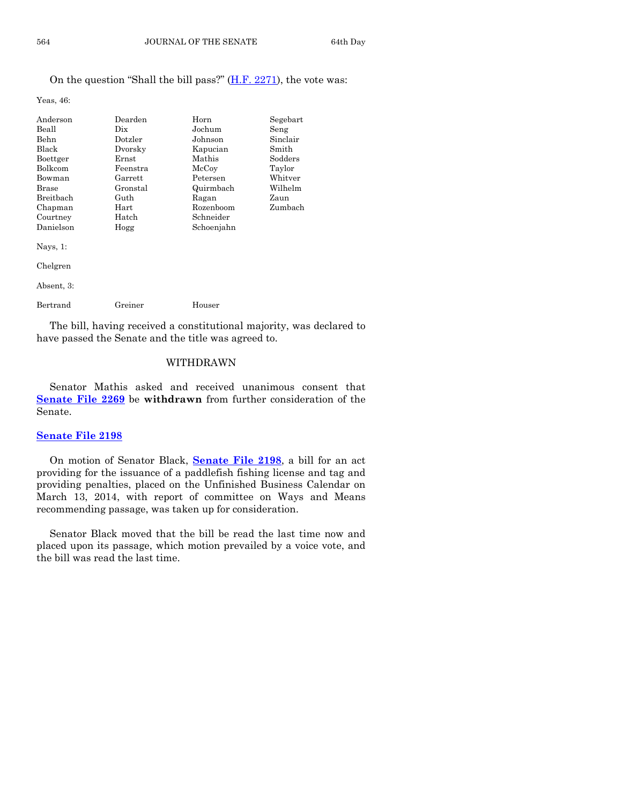## On the question "Shall the bill pass?" [\(H.F. 2271\)](http://coolice.legis.iowa.gov/Cool-ICE/default.asp?Category=billinfo&Service=Billbook&frame=1&GA=85&hbill=HF2271), the vote was:

Yeas, 46:

| Anderson         | Dearden  | Horn       | Segebart |
|------------------|----------|------------|----------|
| Beall            | Dix.     | Jochum     | Seng     |
| Behn             | Dotzler  | Johnson    | Sinclair |
| Black            | Dvorsky  | Kapucian   | Smith    |
| Boettger         | Ernst    | Mathis     | Sodders  |
| <b>Bolkcom</b>   | Feenstra | McCoy      | Taylor   |
| Bowman           | Garrett  | Petersen   | Whitver  |
| <b>Brase</b>     | Gronstal | Quirmbach  | Wilhelm  |
| <b>Breithach</b> | Guth     | Ragan      | Zaun     |
| Chapman          | Hart     | Rozenboom  | Zumbach  |
| Courtney         | Hatch    | Schneider  |          |
| Danielson        | Hogg     | Schoenjahn |          |
| Nays, $1$ :      |          |            |          |
| Chelgren         |          |            |          |
|                  |          |            |          |

Absent, 3: Bertrand Greiner Houser

The bill, having received a constitutional majority, was declared to have passed the Senate and the title was agreed to.

# WITHDRAWN

Senator Mathis asked and received unanimous consent that **[Senate File 2269](http://coolice.legis.iowa.gov/Cool-ICE/default.asp?Category=billinfo&Service=Billbook&frame=1&GA=85&hbill=SF2269)** be **withdrawn** from further consideration of the Senate.

## **[Senate File 2198](http://coolice.legis.iowa.gov/Cool-ICE/default.asp?Category=billinfo&Service=Billbook&frame=1&GA=85&hbill=SF2198)**

On motion of Senator Black, **[Senate File 2198](http://coolice.legis.iowa.gov/Cool-ICE/default.asp?Category=billinfo&Service=Billbook&frame=1&GA=85&hbill=SF2198)**, a bill for an act providing for the issuance of a paddlefish fishing license and tag and providing penalties, placed on the Unfinished Business Calendar on March 13, 2014, with report of committee on Ways and Means recommending passage, was taken up for consideration.

Senator Black moved that the bill be read the last time now and placed upon its passage, which motion prevailed by a voice vote, and the bill was read the last time.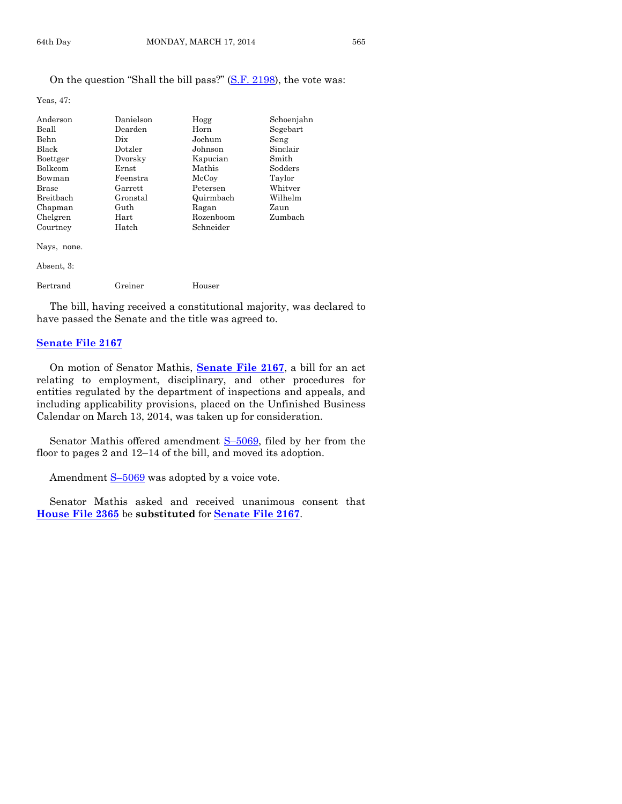#### On the question "Shall the bill pass?" [\(S.F. 2198\)](http://coolice.legis.iowa.gov/Cool-ICE/default.asp?Category=billinfo&Service=Billbook&frame=1&GA=85&hbill=SF2198), the vote was:

Yeas, 47:

| Anderson     | Danielson   | Hogg      | Schoenjahn |
|--------------|-------------|-----------|------------|
| Beall        | Dearden     | Horn      | Segebart   |
| Behn         | Dix.        | Jochum    | Seng       |
| Black        | Dotzler     | Johnson   | Sinclair   |
| Boettger     | Dvorsky     | Kapucian  | Smith      |
| Bolkcom      | $\rm Ernst$ | Mathis    | Sodders    |
| Bowman       | Feenstra    | McCoy     | Taylor     |
| <b>Brase</b> | Garrett     | Petersen  | Whitver    |
| Breitbach    | Gronstal    | Quirmbach | Wilhelm    |
| Chapman      | Guth        | Ragan     | Zaun       |
| Chelgren     | Hart        | Rozenboom | Zumbach    |
| Courtney     | Hatch       | Schneider |            |
| Nays, none.  |             |           |            |
| Absent, 3:   |             |           |            |
| Bertrand     | Greiner     | Houser    |            |

The bill, having received a constitutional majority, was declared to have passed the Senate and the title was agreed to.

#### **[Senate File 2167](http://coolice.legis.iowa.gov/Cool-ICE/default.asp?Category=billinfo&Service=Billbook&frame=1&GA=85&hbill=SF2167)**

On motion of Senator Mathis, **[Senate File 2167](http://coolice.legis.iowa.gov/Cool-ICE/default.asp?Category=billinfo&Service=Billbook&frame=1&GA=85&hbill=SF2167)**, a bill for an act relating to employment, disciplinary, and other procedures for entities regulated by the department of inspections and appeals, and including applicability provisions, placed on the Unfinished Business Calendar on March 13, 2014, was taken up for consideration.

Senator Mathis offered amendment S-[5069,](http://coolice.legis.iowa.gov/Cool-ICE/default.asp?Category=billinfo&Service=Billbook&frame=1&GA=85&hbill=S5069) filed by her from the floor to pages 2 and 12–14 of the bill, and moved its adoption.

Amendment  $S-5069$  $S-5069$  was adopted by a voice vote.

Senator Mathis asked and received unanimous consent that **[House File 2365](http://coolice.legis.iowa.gov/Cool-ICE/default.asp?Category=billinfo&Service=Billbook&frame=1&GA=85&hbill=HF2365)** be **substituted** for **[Senate File 2167](http://coolice.legis.iowa.gov/Cool-ICE/default.asp?Category=billinfo&Service=Billbook&frame=1&GA=85&hbill=SF2167)**.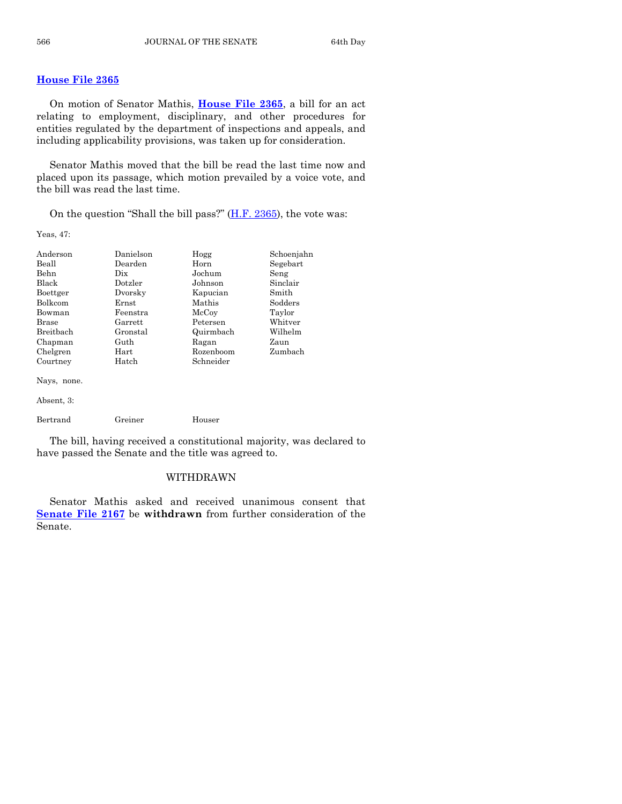# **[House File 2365](http://coolice.legis.iowa.gov/Cool-ICE/default.asp?Category=billinfo&Service=Billbook&frame=1&GA=85&hbill=HF2365)**

On motion of Senator Mathis, **[House File 2365](http://coolice.legis.iowa.gov/Cool-ICE/default.asp?Category=billinfo&Service=Billbook&frame=1&GA=85&hbill=HF2365)**, a bill for an act relating to employment, disciplinary, and other procedures for entities regulated by the department of inspections and appeals, and including applicability provisions, was taken up for consideration.

Senator Mathis moved that the bill be read the last time now and placed upon its passage, which motion prevailed by a voice vote, and the bill was read the last time.

On the question "Shall the bill pass?"  $(H.F. 2365)$ , the vote was:

Yeas, 47:

| Anderson         | Danielson | Hogg      | Schoenjahn |
|------------------|-----------|-----------|------------|
| Beall            | Dearden   | Horn      | Segebart   |
| <b>Behn</b>      | Dix       | Jochum    | Seng       |
| <b>Black</b>     | Dotzler   | Johnson   | Sinclair   |
| Boettger         | Dvorsky   | Kapucian  | Smith      |
| <b>Bolkcom</b>   | Ernst     | Mathis    | Sodders    |
| Bowman           | Feenstra  | McCoy     | Taylor     |
| Brase            | Garrett   | Petersen  | Whitver    |
| <b>Breithach</b> | Gronstal  | Quirmbach | Wilhelm    |
| Chapman          | Guth      | Ragan     | Zaun       |
| Chelgren         | Hart      | Rozenboom | Zumbach    |
| Courtney         | Hatch     | Schneider |            |
| $\mathbf{r}$     |           |           |            |

Nays, none.

```
Absent, 3:
```

```
Bertrand Greiner Houser
```
The bill, having received a constitutional majority, was declared to have passed the Senate and the title was agreed to.

#### WITHDRAWN

Senator Mathis asked and received unanimous consent that **[Senate File 2167](http://coolice.legis.iowa.gov/Cool-ICE/default.asp?Category=billinfo&Service=Billbook&frame=1&GA=85&hbill=SF2167)** be **withdrawn** from further consideration of the Senate.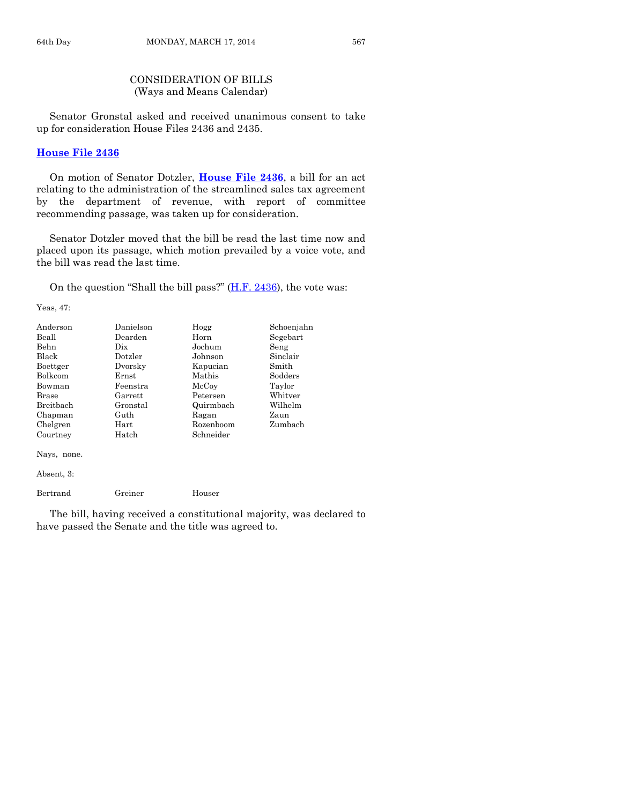# CONSIDERATION OF BILLS (Ways and Means Calendar)

Senator Gronstal asked and received unanimous consent to take up for consideration House Files 2436 and 2435.

#### **[House File 2436](http://coolice.legis.iowa.gov/Cool-ICE/default.asp?Category=billinfo&Service=Billbook&frame=1&GA=85&hbill=HF2436)**

On motion of Senator Dotzler, **[House File 2436](http://coolice.legis.iowa.gov/Cool-ICE/default.asp?Category=billinfo&Service=Billbook&frame=1&GA=85&hbill=HF2436)**, a bill for an act relating to the administration of the streamlined sales tax agreement by the department of revenue, with report of committee recommending passage, was taken up for consideration.

Senator Dotzler moved that the bill be read the last time now and placed upon its passage, which motion prevailed by a voice vote, and the bill was read the last time.

On the question "Shall the bill pass?"  $(H.F. 2436)$ , the vote was:

Yeas, 47:

| Anderson       | Danielson | Hogg      | Schoenjahn |
|----------------|-----------|-----------|------------|
| Beall          | Dearden   | Horn      | Segebart   |
| Behn           | Dix       | Jochum    | Seng       |
| Black          | Dotzler   | Johnson   | Sinclair   |
| Boettger       | Dvorsky   | Kapucian  | Smith      |
| <b>Bolkcom</b> | Ernst     | Mathis    | Sodders    |
| Bowman         | Feenstra  | McCoy     | Taylor     |
| Brase          | Garrett   | Petersen  | Whitver    |
| Breithach      | Gronstal  | Quirmbach | Wilhelm    |
| Chapman        | Guth      | Ragan     | Zaun       |
| Chelgren       | Hart      | Rozenboom | Zumbach    |
| Courtney       | Hatch     | Schneider |            |
|                |           |           |            |

Nays, none.

Absent, 3:

Bertrand Greiner Houser

The bill, having received a constitutional majority, was declared to have passed the Senate and the title was agreed to.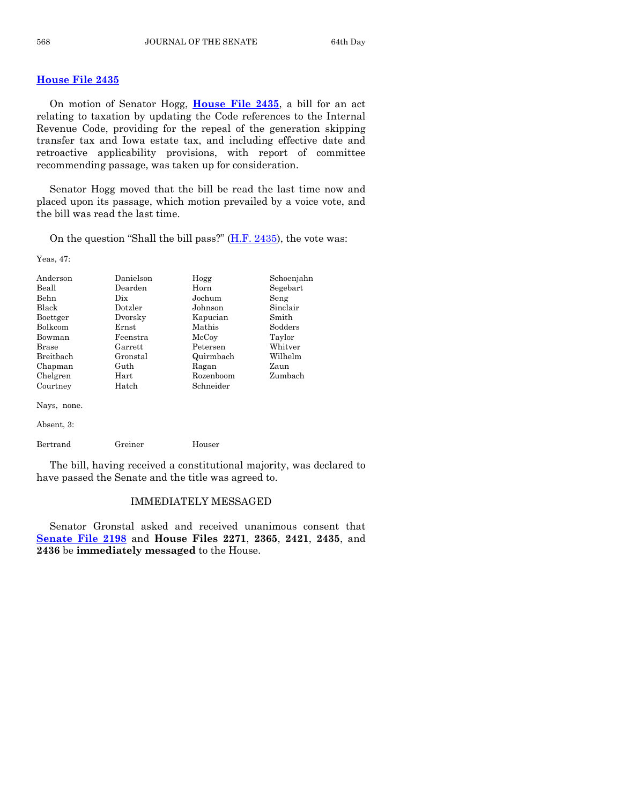#### **[House File 2435](http://coolice.legis.iowa.gov/Cool-ICE/default.asp?Category=billinfo&Service=Billbook&frame=1&GA=85&hbill=HF2435)**

On motion of Senator Hogg, **[House File 2435](http://coolice.legis.iowa.gov/Cool-ICE/default.asp?Category=billinfo&Service=Billbook&frame=1&GA=85&hbill=HF2435)**, a bill for an act relating to taxation by updating the Code references to the Internal Revenue Code, providing for the repeal of the generation skipping transfer tax and Iowa estate tax, and including effective date and retroactive applicability provisions, with report of committee recommending passage, was taken up for consideration.

Senator Hogg moved that the bill be read the last time now and placed upon its passage, which motion prevailed by a voice vote, and the bill was read the last time.

On the question "Shall the bill pass?"  $(H.F. 2435)$ , the vote was:

Yeas, 47:

| Anderson<br>Beall<br>Behn<br>Black<br>Boettger<br><b>Bolkcom</b><br>Bowman<br><b>Brase</b><br><b>Breithach</b><br>Chapman | Danielson<br>Dearden<br>Dix<br>$_{\rm Dotzler}$<br>Dvorsky<br>Ernst<br>Feenstra<br>Garrett<br>Gronstal<br>Guth | Hogg<br>Horn<br>Jochum<br>Johnson<br>Kapucian<br>Mathis<br>McCoy<br>Petersen<br>Quirmbach<br>Ragan | Schoenjahn<br>Segebart<br>Seng<br>Sinclair<br>Smith<br>Sodders<br>Taylor<br>Whitver<br>Wilhelm<br>Zaun |
|---------------------------------------------------------------------------------------------------------------------------|----------------------------------------------------------------------------------------------------------------|----------------------------------------------------------------------------------------------------|--------------------------------------------------------------------------------------------------------|
| Chelgren<br>Courtney                                                                                                      | Hart<br>Hatch                                                                                                  | Rozenboom<br>Schneider                                                                             | Zumbach                                                                                                |
| Nays, none.                                                                                                               |                                                                                                                |                                                                                                    |                                                                                                        |
| Absent, 3:                                                                                                                |                                                                                                                |                                                                                                    |                                                                                                        |
| Bertrand                                                                                                                  | Greiner                                                                                                        | Houser                                                                                             |                                                                                                        |

The bill, having received a constitutional majority, was declared to have passed the Senate and the title was agreed to.

# IMMEDIATELY MESSAGED

Senator Gronstal asked and received unanimous consent that **[Senate File 2198](http://coolice.legis.iowa.gov/Cool-ICE/default.asp?Category=billinfo&Service=Billbook&frame=1&GA=85&hbill=SF2198)** and **House Files 2271**, **2365**, **2421**, **2435**, and **2436** be **immediately messaged** to the House.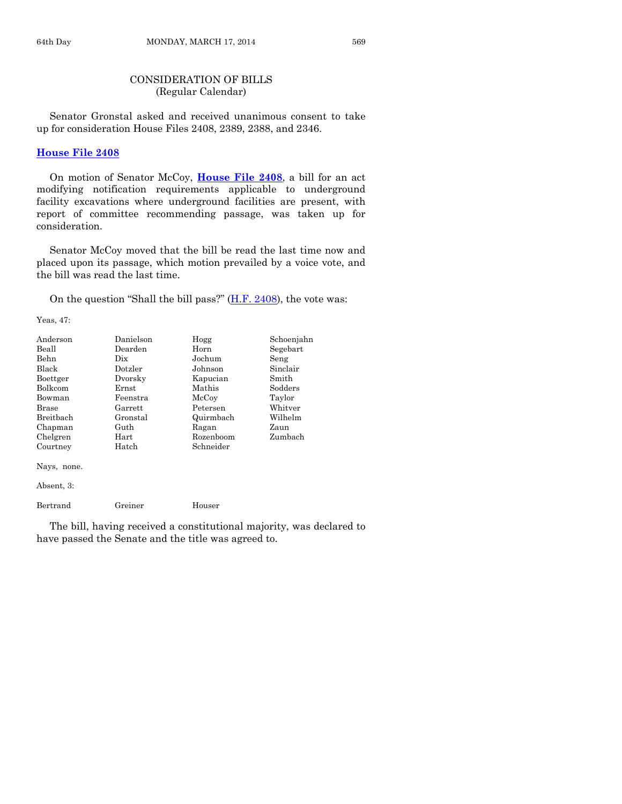# CONSIDERATION OF BILLS (Regular Calendar)

Senator Gronstal asked and received unanimous consent to take up for consideration House Files 2408, 2389, 2388, and 2346.

#### **[House File 2408](http://coolice.legis.iowa.gov/Cool-ICE/default.asp?Category=billinfo&Service=Billbook&frame=1&GA=85&hbill=HF2408)**

On motion of Senator McCoy, **[House File 2408](http://coolice.legis.iowa.gov/Cool-ICE/default.asp?Category=billinfo&Service=Billbook&frame=1&GA=85&hbill=HF2408)**, a bill for an act modifying notification requirements applicable to underground facility excavations where underground facilities are present, with report of committee recommending passage, was taken up for consideration.

Senator McCoy moved that the bill be read the last time now and placed upon its passage, which motion prevailed by a voice vote, and the bill was read the last time.

On the question "Shall the bill pass?"  $(H.F. 2408)$ , the vote was:

Yeas, 47:

| Anderson         | Danielson | Hogg      | Schoenjahn |
|------------------|-----------|-----------|------------|
| Beall            | Dearden   | Horn      | Segebart   |
| Behn             | Dix       | Jochum    | Seng       |
| Black            | Dotzler   | Johnson   | Sinclair   |
| Boettger         | Dvorsky   | Kapucian  | Smith      |
| Bolkcom          | Ernst     | Mathis    | Sodders    |
| Bowman           | Feenstra  | McCoy     | Taylor     |
| Brase            | Garrett   | Petersen  | Whitver    |
| <b>Breithach</b> | Gronstal  | Quirmbach | Wilhelm    |
| Chapman          | Guth      | Ragan     | Zaun       |
| Chelgren         | Hart      | Rozenboom | Zumbach    |
| Courtney         | Hatch     | Schneider |            |
| Nays, none.      |           |           |            |

Absent, 3:

Bertrand Greiner Houser

The bill, having received a constitutional majority, was declared to have passed the Senate and the title was agreed to.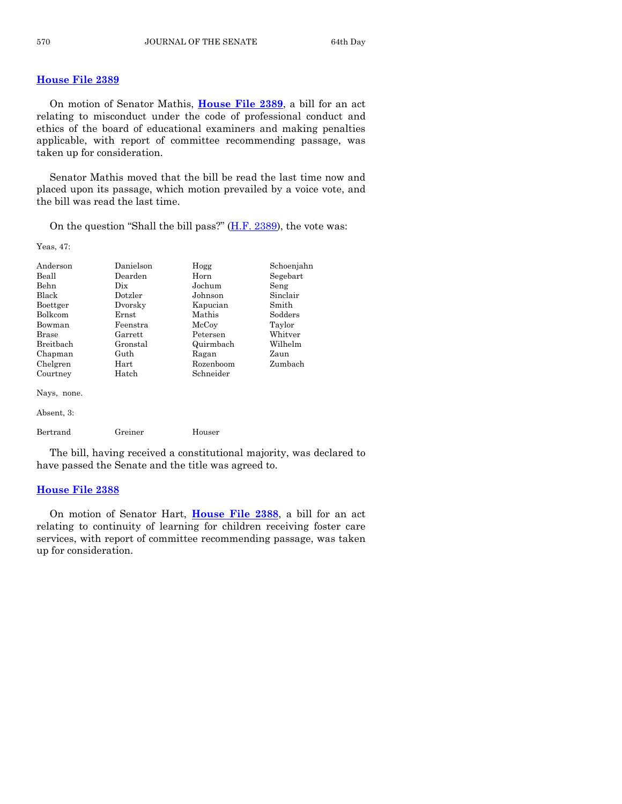# **[House File 2389](http://coolice.legis.iowa.gov/Cool-ICE/default.asp?Category=billinfo&Service=Billbook&frame=1&GA=85&hbill=HF2389)**

On motion of Senator Mathis, **[House File 2389](http://coolice.legis.iowa.gov/Cool-ICE/default.asp?Category=billinfo&Service=Billbook&frame=1&GA=85&hbill=HF2389)**, a bill for an act relating to misconduct under the code of professional conduct and ethics of the board of educational examiners and making penalties applicable, with report of committee recommending passage, was taken up for consideration.

Senator Mathis moved that the bill be read the last time now and placed upon its passage, which motion prevailed by a voice vote, and the bill was read the last time.

On the question "Shall the bill pass?"  $(H.F. 2389)$ , the vote was:

Yeas, 47:

| Anderson<br>Beall<br>Behn<br><b>Black</b><br>Boettger<br>Bolkcom<br>Bowman<br><b>Brase</b><br><b>Breithach</b><br>Chapman<br>Chelgren | Danielson<br>Dearden<br>Dix<br>Dotzler<br>Dvorsky<br>Ernst<br>Feenstra<br>Garrett<br>Gronstal<br>Guth<br>Hart | Hogg<br>Horn<br>Jochum<br>Johnson<br>Kapucian<br>Mathis<br>McCoy<br>Petersen<br>Quirmbach<br>Ragan<br>Rozenboom | Schoenjahn<br>Segebart<br>Seng<br>Sinclair<br>Smith<br>Sodders<br>Taylor<br>Whitver<br>Wilhelm<br>Zaun<br>Zumbach |
|---------------------------------------------------------------------------------------------------------------------------------------|---------------------------------------------------------------------------------------------------------------|-----------------------------------------------------------------------------------------------------------------|-------------------------------------------------------------------------------------------------------------------|
| Courtney                                                                                                                              | Hatch                                                                                                         | Schneider                                                                                                       |                                                                                                                   |
| Nays, none.                                                                                                                           |                                                                                                               |                                                                                                                 |                                                                                                                   |
| Absent, 3:                                                                                                                            |                                                                                                               |                                                                                                                 |                                                                                                                   |
| Bertrand                                                                                                                              | Greiner                                                                                                       | Houser                                                                                                          |                                                                                                                   |

The bill, having received a constitutional majority, was declared to have passed the Senate and the title was agreed to.

#### **[House File 2388](http://coolice.legis.iowa.gov/Cool-ICE/default.asp?Category=billinfo&Service=Billbook&frame=1&GA=85&hbill=HF2388)**

On motion of Senator Hart, **[House File 2388](http://coolice.legis.iowa.gov/Cool-ICE/default.asp?Category=billinfo&Service=Billbook&frame=1&GA=85&hbill=HF2388)**, a bill for an act relating to continuity of learning for children receiving foster care services, with report of committee recommending passage, was taken up for consideration.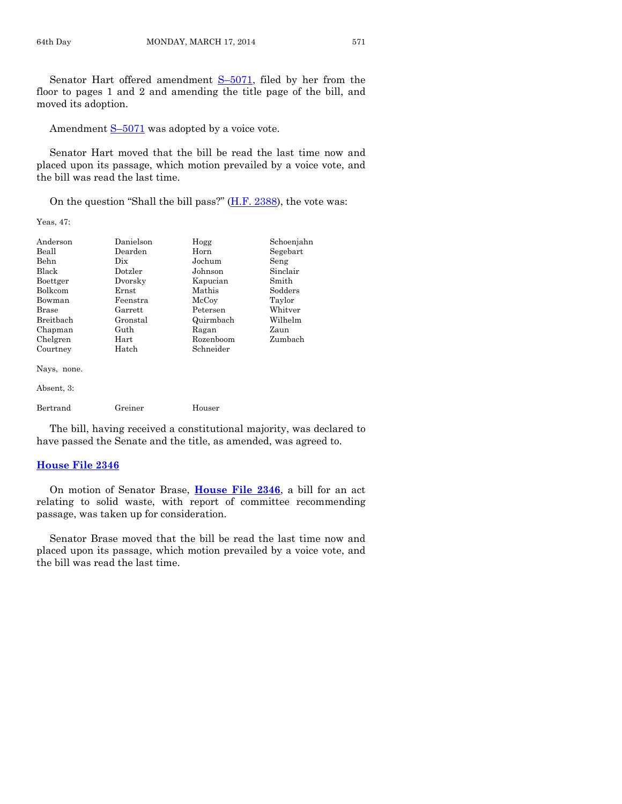Senator Hart offered amendment S–[5071,](http://coolice.legis.iowa.gov/Cool-ICE/default.asp?Category=billinfo&Service=Billbook&frame=1&GA=85&hbill=S5071) filed by her from the floor to pages 1 and 2 and amending the title page of the bill, and moved its adoption.

Amendment  $S-5071$  $S-5071$  was adopted by a voice vote.

Senator Hart moved that the bill be read the last time now and placed upon its passage, which motion prevailed by a voice vote, and the bill was read the last time.

On the question "Shall the bill pass?"  $(H.F. 2388)$ , the vote was:

Yeas, 47:

| Anderson       | Danielson | Hogg      | Schoenjahn |
|----------------|-----------|-----------|------------|
| Beall          | Dearden   | Horn      | Segebart   |
| Behn           | Dix       | Jochum    | Seng       |
| Black          | Dotzler   | Johnson   | Sinclair   |
| Boettger       | Dvorsky   | Kapucian  | Smith      |
| <b>Bolkcom</b> | Ernst     | Mathis    | Sodders    |
| Bowman         | Feenstra  | McCoy     | Taylor     |
| Brase          | Garrett   | Petersen  | Whitver    |
| Breitbach      | Gronstal  | Quirmbach | Wilhelm    |
| Chapman        | Guth      | Ragan     | Zaun       |
| Chelgren       | Hart      | Rozenboom | Zumbach    |
| Courtney       | Hatch     | Schneider |            |
| Nays, none.    |           |           |            |
| Absent, 3:     |           |           |            |
| Bertrand       | Greiner   | Houser    |            |

The bill, having received a constitutional majority, was declared to have passed the Senate and the title, as amended, was agreed to.

#### **[House File 2346](http://coolice.legis.iowa.gov/Cool-ICE/default.asp?Category=billinfo&Service=Billbook&frame=1&GA=85&hbill=HF2346)**

On motion of Senator Brase, **[House File 2346](http://coolice.legis.iowa.gov/Cool-ICE/default.asp?Category=billinfo&Service=Billbook&frame=1&GA=85&hbill=HF2346)**, a bill for an act relating to solid waste, with report of committee recommending passage, was taken up for consideration.

Senator Brase moved that the bill be read the last time now and placed upon its passage, which motion prevailed by a voice vote, and the bill was read the last time.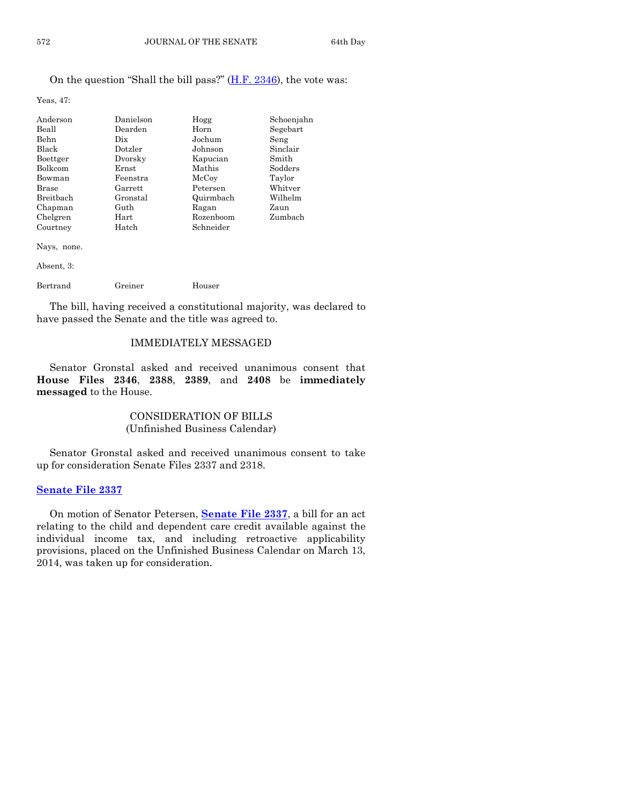# On the question "Shall the bill pass?" [\(H.F. 2346\)](http://coolice.legis.iowa.gov/Cool-ICE/default.asp?Category=billinfo&Service=Billbook&frame=1&GA=85&hbill=HF2346), the vote was:

Yeas, 47:

| Anderson       | Danielson      | Hogg      | Schoenjahn |
|----------------|----------------|-----------|------------|
| Beall          | Dearden        | Horn      | Segebart   |
| <b>Behn</b>    | Dix            | Jochum    | Seng       |
| Black          | Dotzler        | Johnson   | Sinclair   |
| Boettger       | Dvorsky        | Kapucian  | Smith      |
| <b>Bolkcom</b> | Ernst          | Mathis    | Sodders    |
| Bowman         | Feenstra       | McCoy     | Taylor     |
| <b>Brase</b>   | $\rm{Garrett}$ | Petersen  | Whitver    |
| Breitbach      | Gronstal       | Quirmbach | Wilhelm    |
| Chapman        | Guth           | Ragan     | Zaun       |
| Chelgren       | $\rm Hart$     | Rozenboom | Zumbach    |
| Courtney       | Hatch          | Schneider |            |
|                |                |           |            |

Nays, none.

Absent, 3:

Bertrand Greiner Houser

The bill, having received a constitutional majority, was declared to have passed the Senate and the title was agreed to.

# IMMEDIATELY MESSAGED

Senator Gronstal asked and received unanimous consent that **House Files 2346**, **2388**, **2389**, and **2408** be **immediately messaged** to the House.

# CONSIDERATION OF BILLS (Unfinished Business Calendar)

Senator Gronstal asked and received unanimous consent to take up for consideration Senate Files 2337 and 2318.

# **[Senate File 2337](http://coolice.legis.iowa.gov/Cool-ICE/default.asp?Category=billinfo&Service=Billbook&frame=1&GA=85&hbill=SF2337)**

On motion of Senator Petersen, **[Senate File 2337](http://coolice.legis.iowa.gov/Cool-ICE/default.asp?Category=billinfo&Service=Billbook&frame=1&GA=85&hbill=SF2337)**, a bill for an act relating to the child and dependent care credit available against the individual income tax, and including retroactive applicability provisions, placed on the Unfinished Business Calendar on March 13, 2014, was taken up for consideration.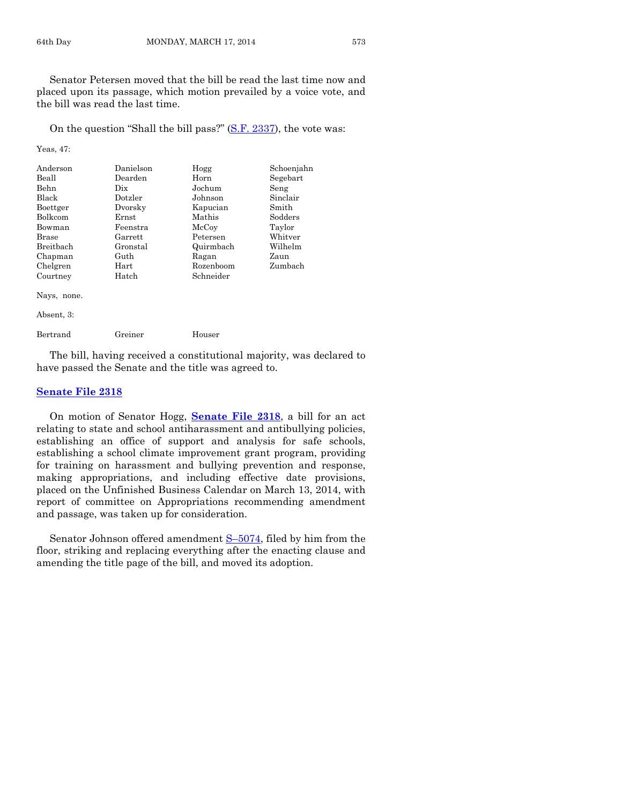Senator Petersen moved that the bill be read the last time now and placed upon its passage, which motion prevailed by a voice vote, and the bill was read the last time.

On the question "Shall the bill pass?" [\(S.F. 2337\)](http://coolice.legis.iowa.gov/Cool-ICE/default.asp?Category=billinfo&Service=Billbook&frame=1&GA=85&hbill=SF2337), the vote was:

Yeas, 47:

| Anderson         | Danielson | Hogg      | Schoenjahn |
|------------------|-----------|-----------|------------|
| Beall            | Dearden   | Horn      | Segebart   |
| Behn             | Dix       | Jochum    | Seng       |
| <b>Black</b>     | Dotzler   | Johnson   | Sinclair   |
| Boettger         | Dvorsky   | Kapucian  | Smith      |
| <b>Bolkcom</b>   | Ernst     | Mathis    | Sodders    |
| Bowman           | Feenstra  | McCoy     | Taylor     |
| Brase            | Garrett   | Petersen  | Whitver    |
| <b>Breithach</b> | Gronstal  | Quirmbach | Wilhelm    |
| Chapman          | Guth      | Ragan     | Zaun       |
| Chelgren         | Hart      | Rozenboom | Zumbach    |
| Courtney         | Hatch     | Schneider |            |
| Nays, none.      |           |           |            |

Absent, 3:

Bertrand Greiner Houser

The bill, having received a constitutional majority, was declared to have passed the Senate and the title was agreed to.

#### **[Senate File 2318](http://coolice.legis.iowa.gov/Cool-ICE/default.asp?Category=billinfo&Service=Billbook&frame=1&GA=85&hbill=SF2318)**

On motion of Senator Hogg, **[Senate File 2318](http://coolice.legis.iowa.gov/Cool-ICE/default.asp?Category=billinfo&Service=Billbook&frame=1&GA=85&hbill=SF2318)**, a bill for an act relating to state and school antiharassment and antibullying policies, establishing an office of support and analysis for safe schools, establishing a school climate improvement grant program, providing for training on harassment and bullying prevention and response, making appropriations, and including effective date provisions, placed on the Unfinished Business Calendar on March 13, 2014, with report of committee on Appropriations recommending amendment and passage, was taken up for consideration.

Senator Johnson offered amendment S–[5074,](http://coolice.legis.iowa.gov/Cool-ICE/default.asp?Category=billinfo&Service=Billbook&frame=1&GA=85&hbill=S5074) filed by him from the floor, striking and replacing everything after the enacting clause and amending the title page of the bill, and moved its adoption.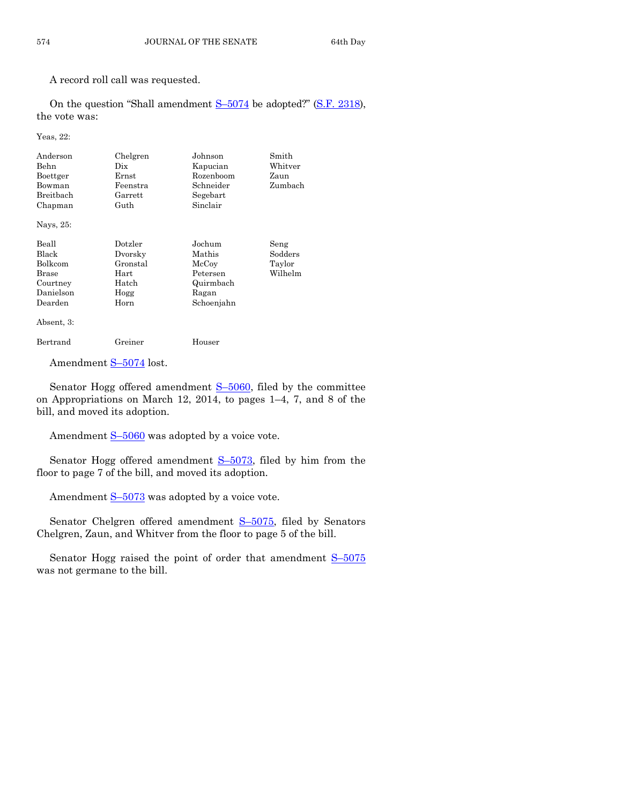A record roll call was requested.

On the question "Shall amendment  $S-5074$  $S-5074$  be adopted?" [\(S.F. 2318\)](http://coolice.legis.iowa.gov/Cool-ICE/default.asp?Category=billinfo&Service=Billbook&frame=1&GA=85&hbill=SF2318), the vote was:

Yeas, 22:

| Anderson<br>Behn<br>Boettger<br>Bowman<br>Breithach<br>Chapman<br>Nays, 25:          | Chelgren<br>Dix<br>Ernst<br>Feenstra<br>Garrett<br>Guth         | Johnson<br>Kapucian<br>Rozenboom<br>Schneider<br>Segebart<br>Sinclair     | Smith<br>Whitver<br>Zaun<br>Zumbach  |
|--------------------------------------------------------------------------------------|-----------------------------------------------------------------|---------------------------------------------------------------------------|--------------------------------------|
| Beall<br>Black<br><b>Bolkcom</b><br><b>Brase</b><br>Courtney<br>Danielson<br>Dearden | Dotzler<br>Dvorsky<br>Gronstal<br>Hart<br>Hatch<br>Hogg<br>Horn | Jochum<br>Mathis<br>McCoy<br>Petersen<br>Quirmbach<br>Ragan<br>Schoenjahn | Seng<br>Sodders<br>Taylor<br>Wilhelm |
| Absent, 3:<br>Bertrand                                                               | Greiner                                                         | Houser                                                                    |                                      |

| Greiner<br>$\sim$ $\sim$ |  |  |
|--------------------------|--|--|
|                          |  |  |

Amendment S-[5074](http://coolice.legis.iowa.gov/Cool-ICE/default.asp?Category=billinfo&Service=Billbook&frame=1&GA=85&hbill=S5074) lost.

Senator Hogg offered amendment  $S-5060$ , filed by the committee on Appropriations on March 12, 2014, to pages 1–4, 7, and 8 of the bill, and moved its adoption.

Amendment  $S-5060$  $S-5060$  was adopted by a voice vote.

Senator Hogg offered amendment S–[5073,](http://coolice.legis.iowa.gov/Cool-ICE/default.asp?Category=billinfo&Service=Billbook&frame=1&GA=85&hbill=S5073) filed by him from the floor to page 7 of the bill, and moved its adoption.

Amendment S-[5073](http://coolice.legis.iowa.gov/Cool-ICE/default.asp?Category=billinfo&Service=Billbook&frame=1&GA=85&hbill=S5073) was adopted by a voice vote.

Senator Chelgren offered amendment S–[5075,](http://coolice.legis.iowa.gov/Cool-ICE/default.asp?Category=billinfo&Service=Billbook&frame=1&GA=85&hbill=S5075) filed by Senators Chelgren, Zaun, and Whitver from the floor to page 5 of the bill.

Senator Hogg raised the point of order that amendment  $S-5075$  $S-5075$ was not germane to the bill.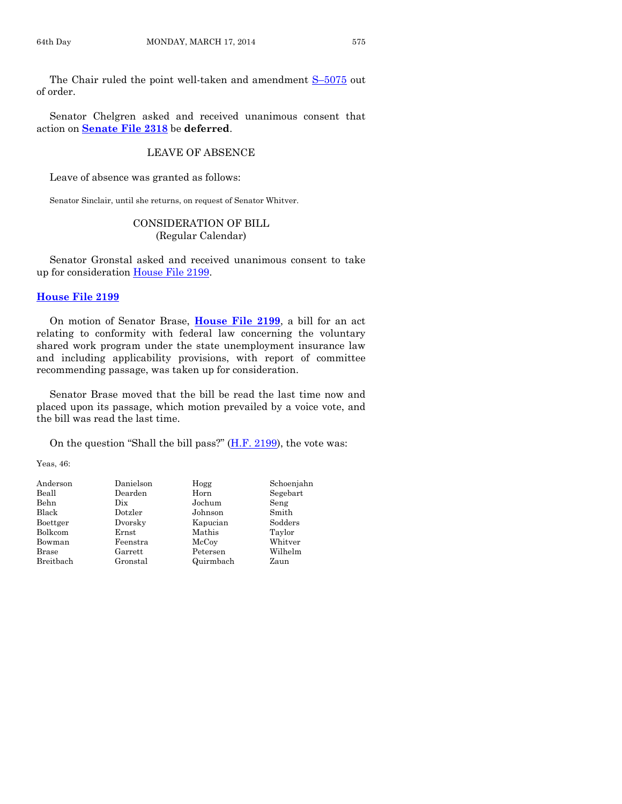The Chair ruled the point well-taken and amendment S–[5075](http://coolice.legis.iowa.gov/Cool-ICE/default.asp?Category=billinfo&Service=Billbook&frame=1&GA=85&hbill=S5075) out of order.

Senator Chelgren asked and received unanimous consent that action on **[Senate File 2318](http://coolice.legis.iowa.gov/Cool-ICE/default.asp?Category=billinfo&Service=Billbook&frame=1&GA=85&hbill=SF2318)** be **deferred**.

# LEAVE OF ABSENCE

Leave of absence was granted as follows:

Senator Sinclair, until she returns, on request of Senator Whitver.

# CONSIDERATION OF BILL (Regular Calendar)

Senator Gronstal asked and received unanimous consent to take up for consideration [House File 2199.](http://coolice.legis.iowa.gov/Cool-ICE/default.asp?Category=billinfo&Service=Billbook&frame=1&GA=85&hbill=HF2199)

#### **[House File 2199](http://coolice.legis.iowa.gov/Cool-ICE/default.asp?Category=billinfo&Service=Billbook&frame=1&GA=85&hbill=HF2199)**

On motion of Senator Brase, **[House File 2199](http://coolice.legis.iowa.gov/Cool-ICE/default.asp?Category=billinfo&Service=Billbook&frame=1&GA=85&hbill=HF2199)**, a bill for an act relating to conformity with federal law concerning the voluntary shared work program under the state unemployment insurance law and including applicability provisions, with report of committee recommending passage, was taken up for consideration.

Senator Brase moved that the bill be read the last time now and placed upon its passage, which motion prevailed by a voice vote, and the bill was read the last time.

On the question "Shall the bill pass?"  $(H.F. 2199)$ , the vote was:

Yeas, 46:

| Danielson | Hogg      | Schoenjahn |
|-----------|-----------|------------|
| Dearden   | Horn      | Segebart   |
| Dix       | Jochum    | Seng       |
| Dotzler   | Johnson   | Smith      |
| Dvorsky   | Kapucian  | Sodders    |
| Ernst     | Mathis    | Taylor     |
| Feenstra  | McCoy     | Whitver    |
| Garrett   | Petersen  | Wilhelm    |
| Gronstal  | Quirmbach | Zaun       |
|           |           |            |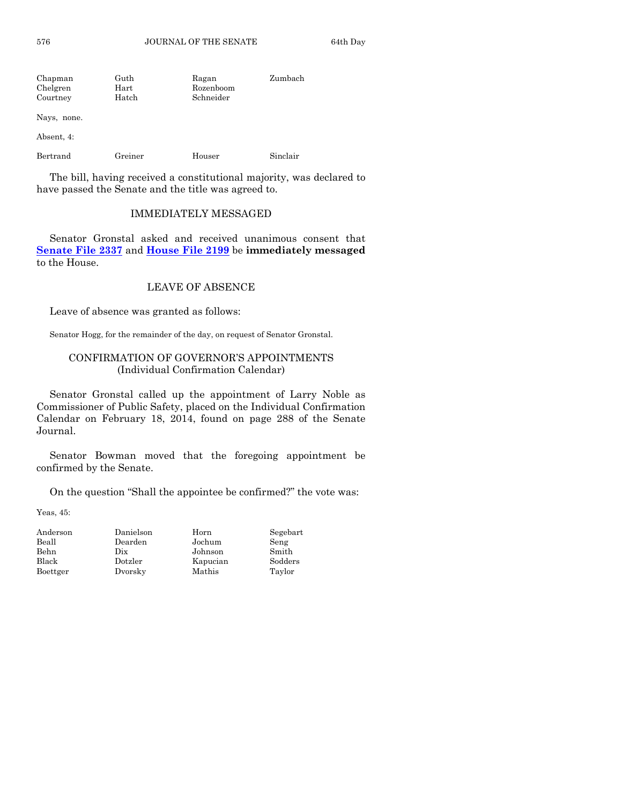576 JOURNAL OF THE SENATE 64th Day

| Chapman<br>Chelgren<br>Courtney | Guth<br>Hart<br>Hatch | Ragan<br>Rozenboom<br>Schneider | Zumbach  |
|---------------------------------|-----------------------|---------------------------------|----------|
| Nays, none.                     |                       |                                 |          |
| Absent, 4:                      |                       |                                 |          |
| Bertrand                        | Greiner               | Houser                          | Sinclair |

The bill, having received a constitutional majority, was declared to have passed the Senate and the title was agreed to.

#### IMMEDIATELY MESSAGED

Senator Gronstal asked and received unanimous consent that **[Senate File 2337](http://coolice.legis.iowa.gov/Cool-ICE/default.asp?Category=billinfo&Service=Billbook&frame=1&GA=85&hbill=SF2337)** and **[House File 2199](http://coolice.legis.iowa.gov/Cool-ICE/default.asp?Category=billinfo&Service=Billbook&frame=1&GA=85&hbill=HF2199)** be **immediately messaged** to the House.

# LEAVE OF ABSENCE

Leave of absence was granted as follows:

Senator Hogg, for the remainder of the day, on request of Senator Gronstal.

# CONFIRMATION OF GOVERNOR'S APPOINTMENTS (Individual Confirmation Calendar)

Senator Gronstal called up the appointment of Larry Noble as Commissioner of Public Safety, placed on the Individual Confirmation Calendar on February 18, 2014, found on page 288 of the Senate Journal.

Senator Bowman moved that the foregoing appointment be confirmed by the Senate.

On the question "Shall the appointee be confirmed?" the vote was:

Yeas, 45:

| Anderson | Danielson | Horn     | Segebart |
|----------|-----------|----------|----------|
| Beall    | Dearden   | Jochum   | Seng     |
| Behn     | Dix       | Johnson  | Smith    |
| Black    | Dotzler   | Kapucian | Sodders  |
| Boettger | Dvorsky   | Mathis   | Taylor   |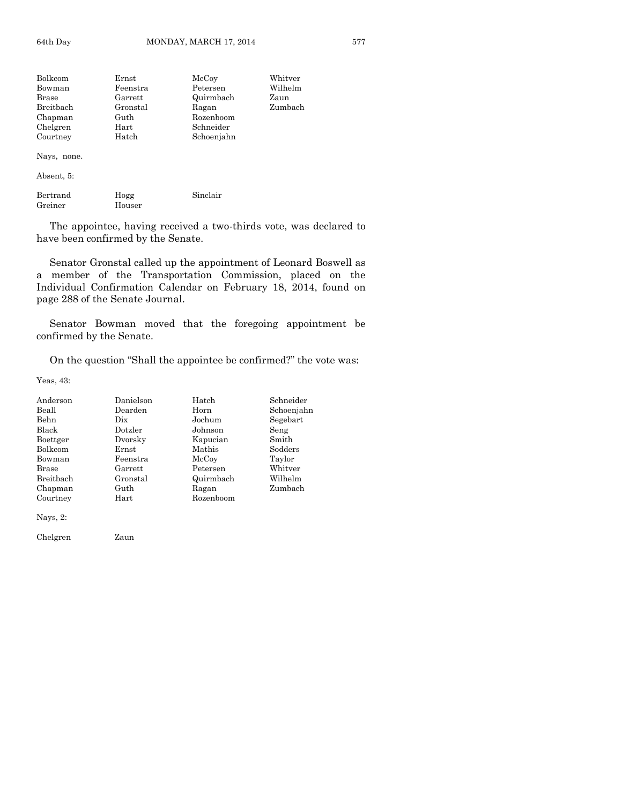| Ernst    | McCoy      | Whitver |
|----------|------------|---------|
| Feenstra | Petersen   | Wilhelm |
| Garrett  | Quirmbach  | Zaun    |
| Gronstal | Ragan      | Zumbach |
| Guth     | Rozenboom  |         |
| Hart     | Schneider  |         |
| Hatch    | Schoenjahn |         |
|          |            |         |

Nays, none.

Absent, 5:

| Bertrand | Hogg   | Sinclair |
|----------|--------|----------|
| Greiner  | Houser |          |

The appointee, having received a two-thirds vote, was declared to have been confirmed by the Senate.

Senator Gronstal called up the appointment of Leonard Boswell as a member of the Transportation Commission, placed on the Individual Confirmation Calendar on February 18, 2014, found on page 288 of the Senate Journal.

Senator Bowman moved that the foregoing appointment be confirmed by the Senate.

On the question "Shall the appointee be confirmed?" the vote was:

Yeas, 43:

| Anderson         | Danielson | Hatch     | Schneider  |
|------------------|-----------|-----------|------------|
| Beall            | Dearden   | Horn      | Schoenjahn |
| <b>Behn</b>      | Dix       | Jochum    | Segebart   |
| Black            | Dotzler   | Johnson   | Seng       |
| Boettger         | Dvorsky   | Kapucian  | Smith      |
| Bolkcom          | Ernst     | Mathis    | Sodders    |
| Bowman           | Feenstra  | McCoy     | Taylor     |
| Brase            | Garrett   | Petersen  | Whitver    |
| <b>Breithach</b> | Gronstal  | Quirmbach | Wilhelm    |
| Chapman          | Guth      | Ragan     | Zumbach    |
| Courtney         | Hart      | Rozenboom |            |
| $\mathbf{v}$     |           |           |            |

Nays, 2:

Chelgren Zaun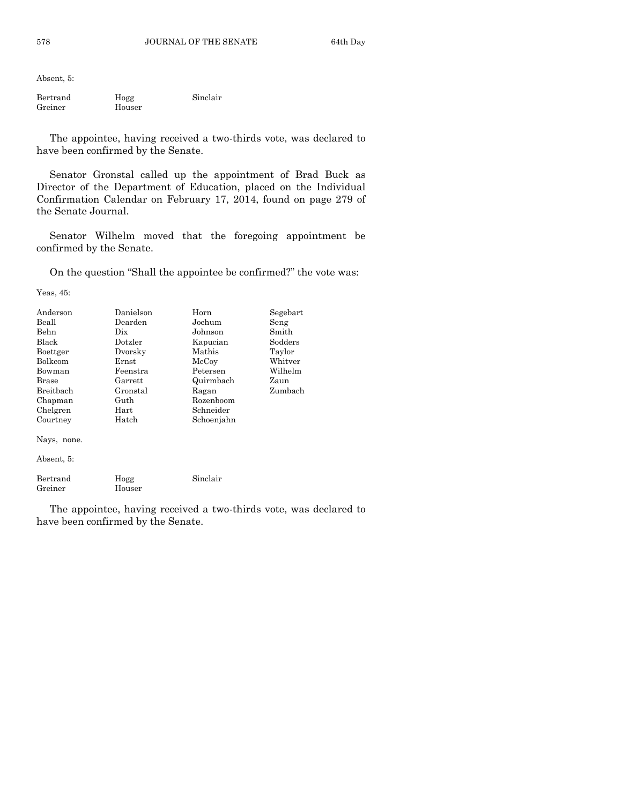Absent, 5:

| Bertrand | Hogg   | Sinclair |
|----------|--------|----------|
| Greiner  | Houser |          |

The appointee, having received a two-thirds vote, was declared to have been confirmed by the Senate.

Senator Gronstal called up the appointment of Brad Buck as Director of the Department of Education, placed on the Individual Confirmation Calendar on February 17, 2014, found on page 279 of the Senate Journal.

Senator Wilhelm moved that the foregoing appointment be confirmed by the Senate.

On the question "Shall the appointee be confirmed?" the vote was:

Yeas, 45:

| Anderson<br>Beall<br>Behn<br><b>Black</b><br>Boettger<br><b>Bolkcom</b><br>Bowman<br><b>Brase</b><br>Breithach<br>Chapman | Danielson<br>Dearden<br>Dix<br>Dotzler<br>Dvorsky<br>Ernst<br>Feenstra<br>Garrett<br>Gronstal<br>Guth | Horn<br>Jochum<br>Johnson<br>Kapucian<br>Mathis<br>McCoy<br>Petersen<br>Quirmbach<br>Ragan<br>Rozenboom | Segebart<br>Seng<br>Smith<br>Sodders<br>Taylor<br>Whitver<br>Wilhelm<br>Zaun<br>Zumbach |
|---------------------------------------------------------------------------------------------------------------------------|-------------------------------------------------------------------------------------------------------|---------------------------------------------------------------------------------------------------------|-----------------------------------------------------------------------------------------|
| Chelgren                                                                                                                  | Hart                                                                                                  | Schneider                                                                                               |                                                                                         |
| Courtney                                                                                                                  | Hatch                                                                                                 | Schoenjahn                                                                                              |                                                                                         |

Nays, none.

Absent, 5:

| Bertrand | Hogg   | Sinclair |
|----------|--------|----------|
| Greiner  | Houser |          |

The appointee, having received a two-thirds vote, was declared to have been confirmed by the Senate.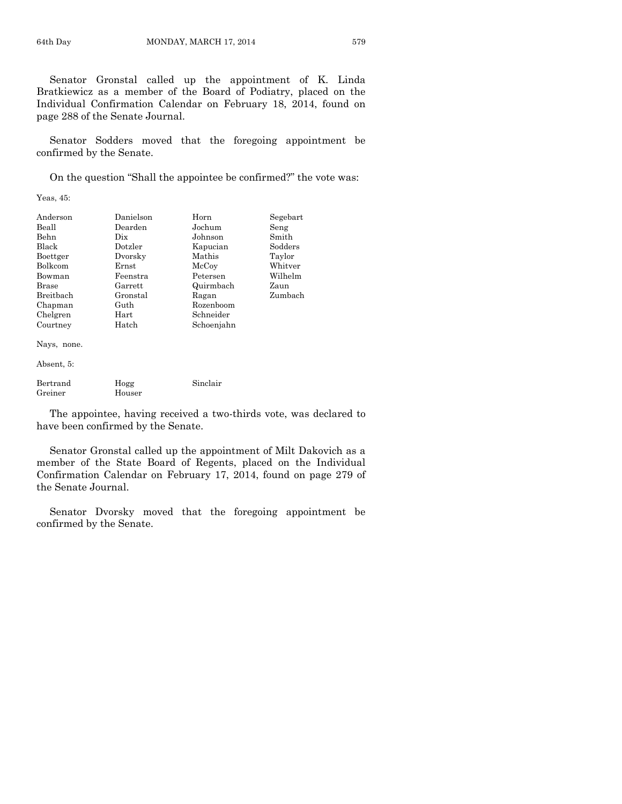Senator Gronstal called up the appointment of K. Linda Bratkiewicz as a member of the Board of Podiatry, placed on the Individual Confirmation Calendar on February 18, 2014, found on page 288 of the Senate Journal.

Senator Sodders moved that the foregoing appointment be confirmed by the Senate.

On the question "Shall the appointee be confirmed?" the vote was:

Yeas, 45:

| Anderson     | Danielson | Horn       | Segebart |
|--------------|-----------|------------|----------|
| Beall        | Dearden   | Jochum     | Seng     |
| Behn         | Dix       | Johnson    | Smith    |
| Black        | Dotzler   | Kapucian   | Sodders  |
| Boettger     | Dvorsky   | Mathis     | Taylor   |
| Bolkcom      | Ernst     | McCoy      | Whitver  |
| Bowman       | Feenstra  | Petersen   | Wilhelm  |
| <b>Brase</b> | Garrett   | Quirmbach  | Zaun     |
| Breitbach    | Gronstal  | Ragan      | Zumbach  |
| Chapman      | Guth      | Rozenboom  |          |
| Chelgren     | Hart      | Schneider  |          |
| Courtney     | Hatch     | Schoenjahn |          |

Nays, none.

Absent, 5:

| Bertrand | Hogg   | Sinclair |
|----------|--------|----------|
| Greiner  | Houser |          |

The appointee, having received a two-thirds vote, was declared to have been confirmed by the Senate.

Senator Gronstal called up the appointment of Milt Dakovich as a member of the State Board of Regents, placed on the Individual Confirmation Calendar on February 17, 2014, found on page 279 of the Senate Journal.

Senator Dvorsky moved that the foregoing appointment be confirmed by the Senate.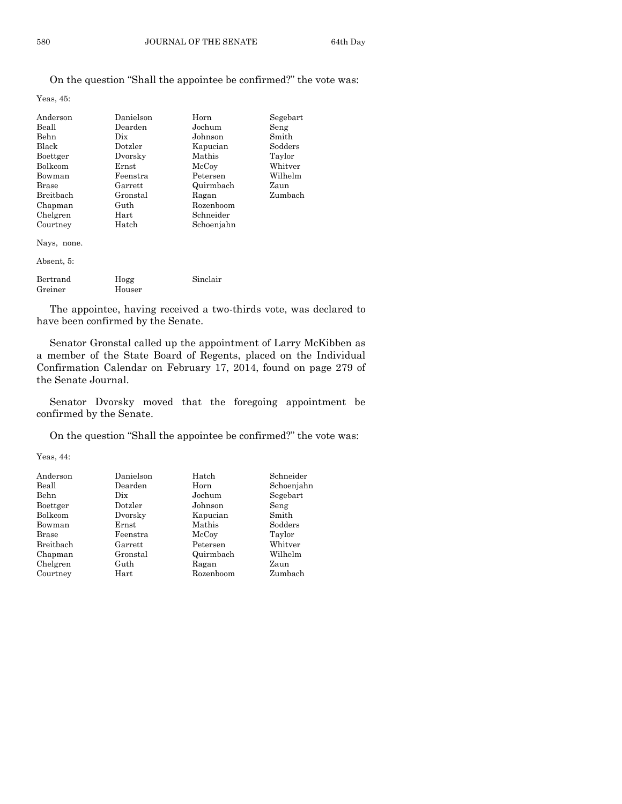# On the question "Shall the appointee be confirmed?" the vote was:

Yeas, 45:

| Anderson       | Danielson | Horn       | Segebart |
|----------------|-----------|------------|----------|
| Beall          | Dearden   | Jochum     | Seng     |
| Behn           | Dix       | Johnson    | Smith    |
| Black          | Dotzler   | Kapucian   | Sodders  |
| Boettger       | Dvorsky   | Mathis     | Taylor   |
| <b>Bolkcom</b> | Ernst     | McCoy      | Whitver  |
| Bowman         | Feenstra  | Petersen   | Wilhelm  |
| Brase          | Garrett   | Quirmbach  | Zaun     |
| Breithach      | Gronstal  | Ragan      | Zumbach  |
| Chapman        | Guth      | Rozenboom  |          |
| Chelgren       | Hart      | Schneider  |          |
| Courtney       | Hatch     | Schoenjahn |          |
| Nays, none.    |           |            |          |
| Absent, 5:     |           |            |          |
| Bertrand       | Hogg      | Sinclair   |          |

The appointee, having received a two-thirds vote, was declared to have been confirmed by the Senate.

Senator Gronstal called up the appointment of Larry McKibben as a member of the State Board of Regents, placed on the Individual Confirmation Calendar on February 17, 2014, found on page 279 of the Senate Journal.

Senator Dvorsky moved that the foregoing appointment be confirmed by the Senate.

On the question "Shall the appointee be confirmed?" the vote was:

Yeas, 44:

Greiner Houser

| Anderson     | Danielson   | Hatch     | Schneider  |
|--------------|-------------|-----------|------------|
| Beall        | Dearden     | Horn      | Schoenjahn |
| Behn         | Dix         | Jochum    | Segebart   |
| Boettger     | Dotzler     | Johnson   | Seng       |
| Bolkcom      | Dvorsky     | Kapucian  | Smith      |
| Bowman       | $\rm Ernst$ | Mathis    | Sodders    |
| <b>Brase</b> | Feenstra    | McCoy     | Taylor     |
| Breitbach    | Garrett     | Petersen  | Whitver    |
| Chapman      | Gronstal    | Quirmbach | Wilhelm    |
| Chelgren     | Guth        | Ragan     | Zaun       |
| Courtney     | Hart        | Rozenboom | Zumbach    |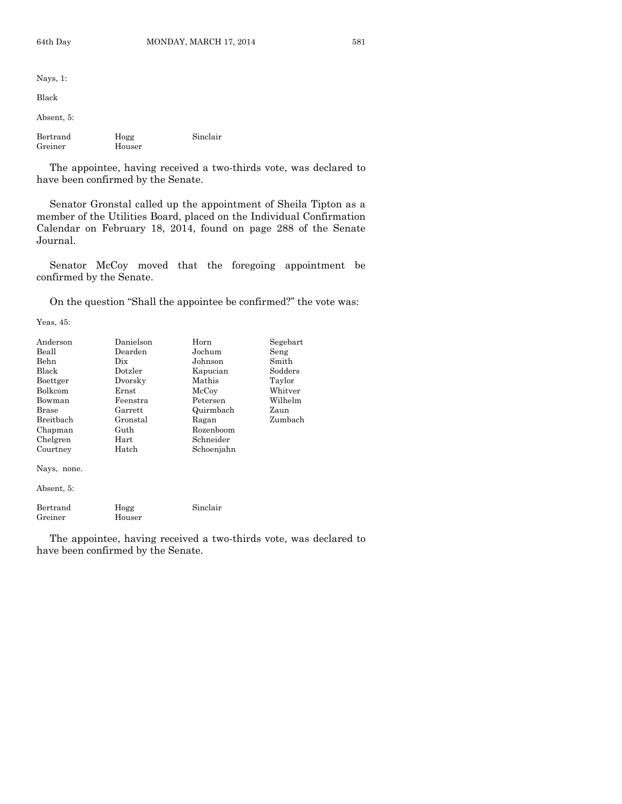| Nays, $1$ :         |                |          |
|---------------------|----------------|----------|
| Black               |                |          |
| Absent, 5:          |                |          |
| Bertrand<br>Greiner | Hogg<br>Houser | Sinclair |
| ----                | $\blacksquare$ |          |

The appointee, having received a two-thirds vote, was declared to have been confirmed by the Senate.

Senator Gronstal called up the appointment of Sheila Tipton as a member of the Utilities Board, placed on the Individual Confirmation Calendar on February 18, 2014, found on page 288 of the Senate Journal.

Senator McCoy moved that the foregoing appointment be confirmed by the Senate.

On the question "Shall the appointee be confirmed?" the vote was:

Yeas, 45:

| Anderson     | Danielson | Horn       | Segebart |
|--------------|-----------|------------|----------|
| Beall        | Dearden   | Jochum     | Seng     |
| <b>Behn</b>  | Dix       | Johnson    | Smith    |
| Black        | Dotzler   | Kapucian   | Sodders  |
| Boettger     | Dvorsky   | Mathis     | Taylor   |
| Bolkcom      | Ernst     | McCoy      | Whitver  |
| Bowman       | Feenstra  | Petersen   | Wilhelm  |
| <b>Brase</b> | Garrett   | Quirmbach  | Zaun     |
| Breitbach    | Gronstal  | Ragan      | Zumbach  |
| Chapman      | Guth      | Rozenboom  |          |
| Chelgren     | Hart      | Schneider  |          |
| Courtney     | Hatch     | Schoenjahn |          |
| Nays, none.  |           |            |          |
| Absent, 5:   |           |            |          |

| Bertrand | Hogg   | Sinclair |
|----------|--------|----------|
| Greiner  | Houser |          |

The appointee, having received a two-thirds vote, was declared to have been confirmed by the Senate.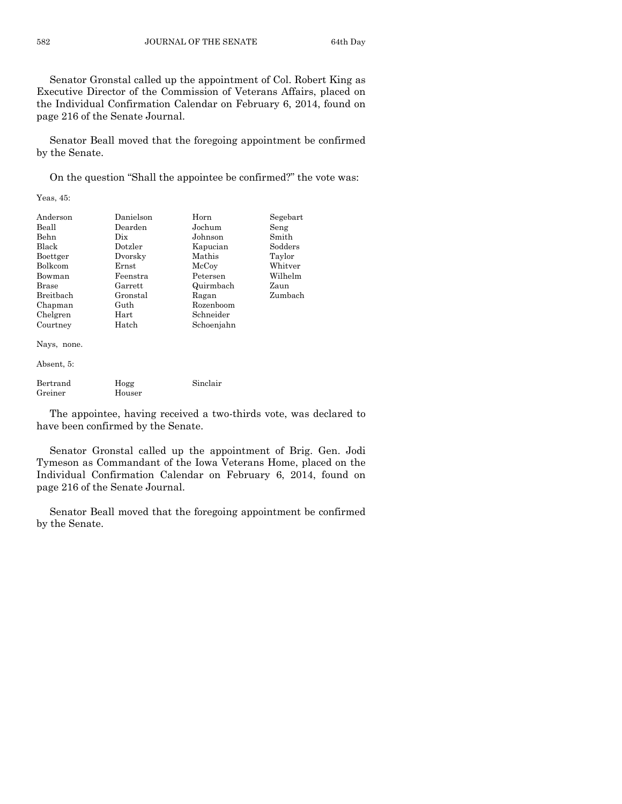Senator Gronstal called up the appointment of Col. Robert King as Executive Director of the Commission of Veterans Affairs, placed on the Individual Confirmation Calendar on February 6, 2014, found on page 216 of the Senate Journal.

Senator Beall moved that the foregoing appointment be confirmed by the Senate.

On the question "Shall the appointee be confirmed?" the vote was:

Yeas, 45:

| Anderson  | Danielson | Horn       | Segebart |
|-----------|-----------|------------|----------|
| Beall     | Dearden   | Jochum     | Seng     |
| Behn      | Dix       | Johnson    | Smith    |
| Black     | Dotzler   | Kapucian   | Sodders  |
| Boettger  | Dvorsky   | Mathis     | Taylor   |
| Bolkcom   | Ernst     | McCoy      | Whitver  |
| Bowman    | Feenstra  | Petersen   | Wilhelm  |
| Brase     | Garrett   | Quirmbach  | Zaun     |
| Breitbach | Gronstal  | Ragan      | Zumbach  |
| Chapman   | Guth      | Rozenboom  |          |
| Chelgren  | Hart      | Schneider  |          |
| Courtney  | Hatch     | Schoenjahn |          |

Nays, none.

Absent, 5:

| Bertrand | Hogg   | Sinclair |
|----------|--------|----------|
| Greiner  | Houser |          |

The appointee, having received a two-thirds vote, was declared to have been confirmed by the Senate.

Senator Gronstal called up the appointment of Brig. Gen. Jodi Tymeson as Commandant of the Iowa Veterans Home, placed on the Individual Confirmation Calendar on February 6, 2014, found on page 216 of the Senate Journal.

Senator Beall moved that the foregoing appointment be confirmed by the Senate.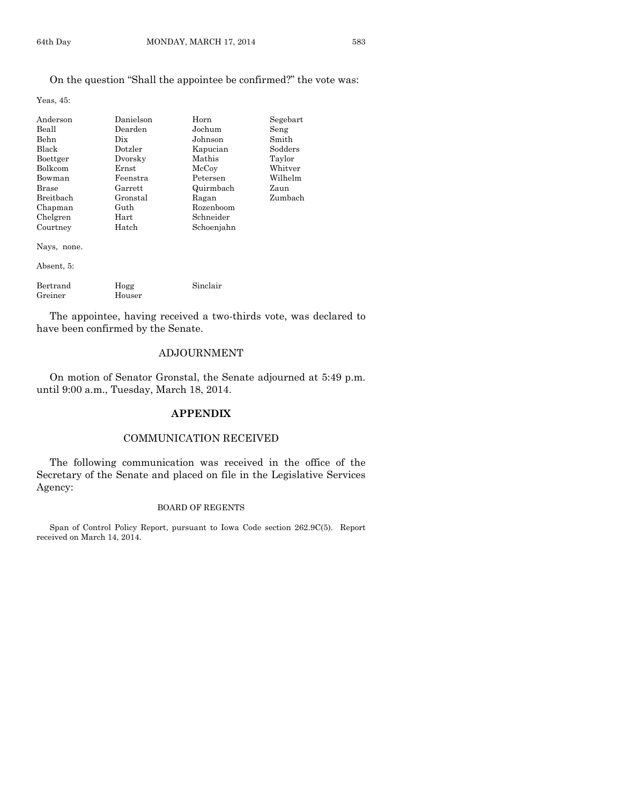# On the question "Shall the appointee be confirmed?" the vote was:

Yeas, 45:

| Anderson     | Danielson | Horn       | Segebart |
|--------------|-----------|------------|----------|
| Beall        | Dearden   | Jochum     | Seng     |
| Behn         | Dix.      | Johnson    | Smith    |
| <b>Black</b> | Dotzler   | Kapucian   | Sodders  |
| Boettger     | Dvorsky   | Mathis     | Taylor   |
| Bolkcom      | Ernst     | McCoy      | Whitver  |
| Bowman       | Feenstra  | Petersen   | Wilhelm  |
| Brase        | Garrett   | Quirmbach  | Zaun     |
| Breitbach    | Gronstal  | Ragan      | Zumbach  |
| Chapman      | Guth      | Rozenboom  |          |
| Chelgren     | Hart      | Schneider  |          |
| Courtney     | Hatch     | Schoenjahn |          |
| Nays, none.  |           |            |          |
| Absent, 5:   |           |            |          |
|              |           |            |          |

| Bertrand | Hogg   | Sinclair |
|----------|--------|----------|
| Greiner  | Houser |          |

The appointee, having received a two-thirds vote, was declared to have been confirmed by the Senate.

# ADJOURNMENT

On motion of Senator Gronstal, the Senate adjourned at 5:49 p.m. until 9:00 a.m., Tuesday, March 18, 2014.

# **APPENDIX**

# COMMUNICATION RECEIVED

The following communication was received in the office of the Secretary of the Senate and placed on file in the Legislative Services Agency:

#### BOARD OF REGENTS

Span of Control Policy Report, pursuant to Iowa Code section 262.9C(5). Report received on March 14, 2014.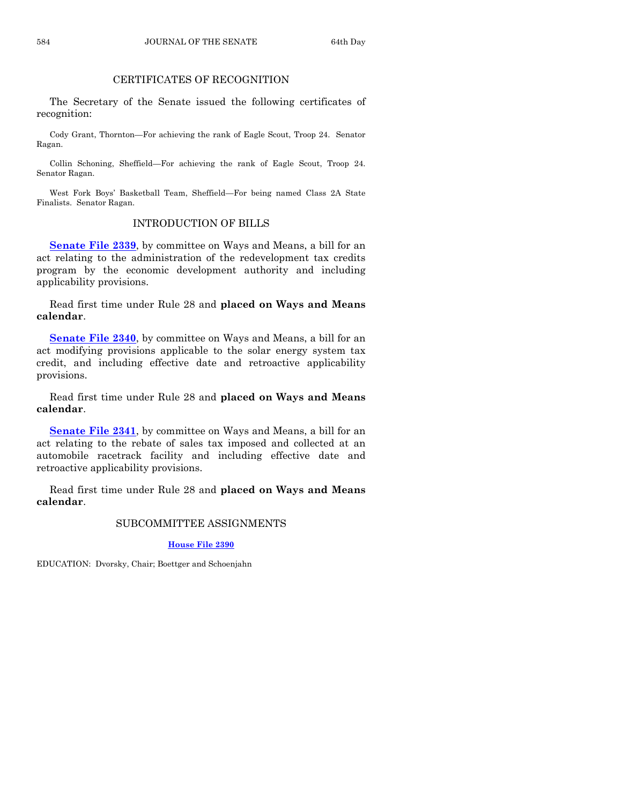# CERTIFICATES OF RECOGNITION

The Secretary of the Senate issued the following certificates of recognition:

Cody Grant, Thornton—For achieving the rank of Eagle Scout, Troop 24. Senator Ragan.

Collin Schoning, Sheffield—For achieving the rank of Eagle Scout, Troop 24. Senator Ragan.

West Fork Boys' Basketball Team, Sheffield—For being named Class 2A State Finalists. Senator Ragan.

# INTRODUCTION OF BILLS

**[Senate File 2339](http://coolice.legis.iowa.gov/Cool-ICE/default.asp?Category=billinfo&Service=Billbook&frame=1&GA=85&hbill=SF2339)**, by committee on Ways and Means, a bill for an act relating to the administration of the redevelopment tax credits program by the economic development authority and including applicability provisions.

Read first time under Rule 28 and **placed on Ways and Means calendar**.

**[Senate File 2340](http://coolice.legis.iowa.gov/Cool-ICE/default.asp?Category=billinfo&Service=Billbook&frame=1&GA=85&hbill=SF2340)**, by committee on Ways and Means, a bill for an act modifying provisions applicable to the solar energy system tax credit, and including effective date and retroactive applicability provisions.

Read first time under Rule 28 and **placed on Ways and Means calendar**.

**[Senate File 2341](http://coolice.legis.iowa.gov/Cool-ICE/default.asp?Category=billinfo&Service=Billbook&frame=1&GA=85&hbill=SF2341)**, by committee on Ways and Means, a bill for an act relating to the rebate of sales tax imposed and collected at an automobile racetrack facility and including effective date and retroactive applicability provisions.

Read first time under Rule 28 and **placed on Ways and Means calendar**.

#### SUBCOMMITTEE ASSIGNMENTS

**[House File](http://coolice.legis.iowa.gov/Cool-ICE/default.asp?Category=billinfo&Service=Billbook&frame=1&GA=85&hbill=HF2390) 2390**

EDUCATION: Dvorsky, Chair; Boettger and Schoenjahn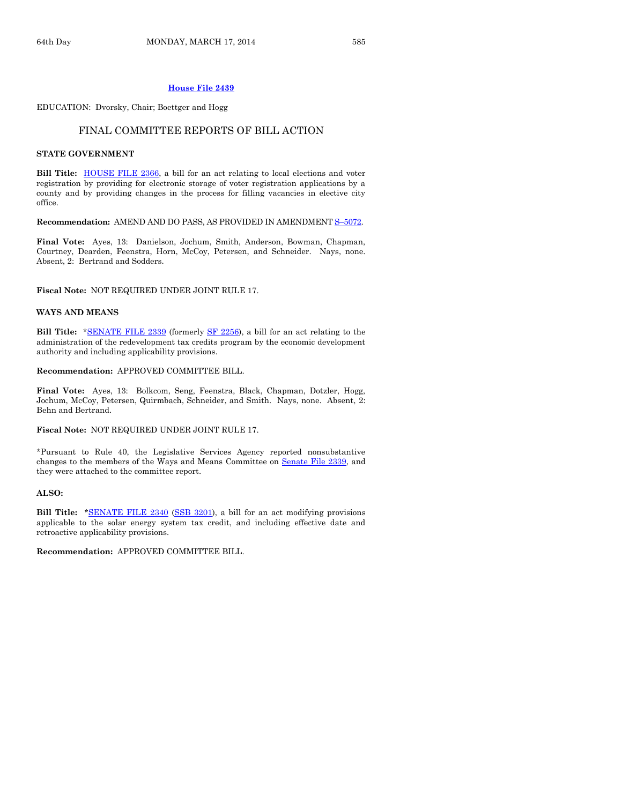#### **[House File 2439](http://coolice.legis.iowa.gov/Cool-ICE/default.asp?Category=billinfo&Service=Billbook&frame=1&GA=85&hbill=HF2439)**

EDUCATION: Dvorsky, Chair; Boettger and Hogg

#### FINAL COMMITTEE REPORTS OF BILL ACTION

#### **STATE GOVERNMENT**

**Bill Title:** [HOUSE FILE 2366,](http://coolice.legis.iowa.gov/Cool-ICE/default.asp?Category=billinfo&Service=Billbook&frame=1&GA=85&hbill=HF2366) a bill for an act relating to local elections and voter registration by providing for electronic storage of voter registration applications by a county and by providing changes in the process for filling vacancies in elective city office.

**Recommendation:** AMEND AND DO PASS, AS PROVIDED IN AMENDMENT S–[5072.](http://coolice.legis.iowa.gov/Cool-ICE/default.asp?Category=billinfo&Service=Billbook&frame=1&GA=85&hbill=S5072)

**Final Vote:** Ayes, 13: Danielson, Jochum, Smith, Anderson, Bowman, Chapman, Courtney, Dearden, Feenstra, Horn, McCoy, Petersen, and Schneider. Nays, none. Absent, 2: Bertrand and Sodders.

**Fiscal Note:** NOT REQUIRED UNDER JOINT RULE 17.

#### **WAYS AND MEANS**

**Bill Title:** [\\*SENATE FILE 2339](http://coolice.legis.iowa.gov/Cool-ICE/default.asp?Category=billinfo&Service=Billbook&frame=1&GA=85&hbill=SF2339) (formerly [SF 2256\)](http://coolice.legis.iowa.gov/Cool-ICE/default.asp?Category=billinfo&Service=Billbook&frame=1&GA=85&hbill=SF2256), a bill for an act relating to the administration of the redevelopment tax credits program by the economic development authority and including applicability provisions.

**Recommendation:** APPROVED COMMITTEE BILL.

**Final Vote:** Ayes, 13: Bolkcom, Seng, Feenstra, Black, Chapman, Dotzler, Hogg, Jochum, McCoy, Petersen, Quirmbach, Schneider, and Smith. Nays, none. Absent, 2: Behn and Bertrand.

**Fiscal Note:** NOT REQUIRED UNDER JOINT RULE 17.

\*Pursuant to Rule 40, the Legislative Services Agency reported nonsubstantive changes to the members of the Ways and Means Committee on Senate [File 2339,](http://coolice.legis.iowa.gov/Cool-ICE/default.asp?Category=billinfo&Service=Billbook&frame=1&GA=85&hbill=SF2339) and they were attached to the committee report.

#### **ALSO:**

**Bill Title:** [\\*SENATE FILE 2340](http://coolice.legis.iowa.gov/Cool-ICE/default.asp?Category=billinfo&Service=Billbook&frame=1&GA=85&hbill=SF2340) [\(SSB 3201\)](http://coolice.legis.iowa.gov/Cool-ICE/default.asp?Category=billinfo&Service=Billbook&frame=1&GA=85&hbill=SSB3201), a bill for an act modifying provisions applicable to the solar energy system tax credit, and including effective date and retroactive applicability provisions.

**Recommendation:** APPROVED COMMITTEE BILL.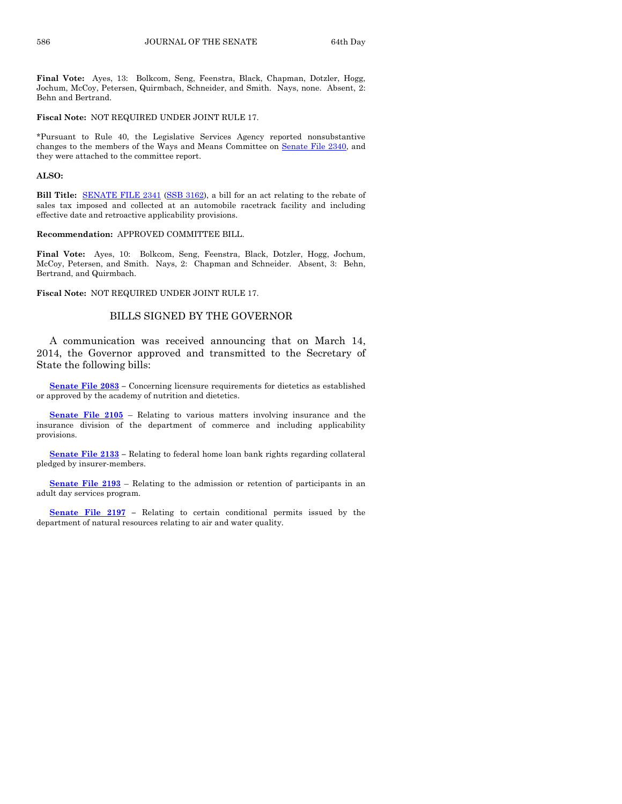**Final Vote:** Ayes, 13: Bolkcom, Seng, Feenstra, Black, Chapman, Dotzler, Hogg, Jochum, McCoy, Petersen, Quirmbach, Schneider, and Smith. Nays, none. Absent, 2: Behn and Bertrand.

#### **Fiscal Note:** NOT REQUIRED UNDER JOINT RULE 17.

\*Pursuant to Rule 40, the Legislative Services Agency reported nonsubstantive changes to the members of the Ways and Means Committee on Senate [File 2340,](http://coolice.legis.iowa.gov/Cool-ICE/default.asp?Category=billinfo&Service=Billbook&frame=1&GA=85&hbill=SF2340) and they were attached to the committee report.

#### **ALSO:**

**Bill Title:** [SENATE FILE 2341](http://coolice.legis.iowa.gov/Cool-ICE/default.asp?Category=billinfo&Service=Billbook&frame=1&GA=85&hbill=SF2341) [\(SSB 3162\)](http://coolice.legis.iowa.gov/Cool-ICE/default.asp?Category=billinfo&Service=Billbook&frame=1&GA=85&hbill=SSB3162), a bill for an act relating to the rebate of sales tax imposed and collected at an automobile racetrack facility and including effective date and retroactive applicability provisions.

#### **Recommendation:** APPROVED COMMITTEE BILL.

**Final Vote:** Ayes, 10: Bolkcom, Seng, Feenstra, Black, Dotzler, Hogg, Jochum, McCoy, Petersen, and Smith. Nays, 2: Chapman and Schneider. Absent, 3: Behn, Bertrand, and Quirmbach.

**Fiscal Note:** NOT REQUIRED UNDER JOINT RULE 17.

#### BILLS SIGNED BY THE GOVERNOR

A communication was received announcing that on March 14, 2014, the Governor approved and transmitted to the Secretary of State the following bills:

**[Senate File 2083](http://coolice.legis.iowa.gov/Cool-ICE/default.asp?Category=billinfo&Service=Billbook&frame=1&GA=85&hbill=SF2083) –** Concerning licensure requirements for dietetics as established or approved by the academy of nutrition and dietetics.

**[Senate File 2105](http://coolice.legis.iowa.gov/Cool-ICE/default.asp?Category=billinfo&Service=Billbook&frame=1&GA=85&hbill=SF2105)** – Relating to various matters involving insurance and the insurance division of the department of commerce and including applicability provisions.

**[Senate File 2133](http://coolice.legis.iowa.gov/Cool-ICE/default.asp?Category=billinfo&Service=Billbook&frame=1&GA=85&hbill=SF2133) –** Relating to federal home loan bank rights regarding collateral pledged by insurer-members.

**[Senate File 2193](http://coolice.legis.iowa.gov/Cool-ICE/default.asp?Category=billinfo&Service=Billbook&frame=1&GA=85&hbill=SF2193)** – Relating to the admission or retention of participants in an adult day services program.

**[Senate File 2197](http://coolice.legis.iowa.gov/Cool-ICE/default.asp?Category=billinfo&Service=Billbook&frame=1&GA=85&hbill=SF2197) –** Relating to certain conditional permits issued by the department of natural resources relating to air and water quality.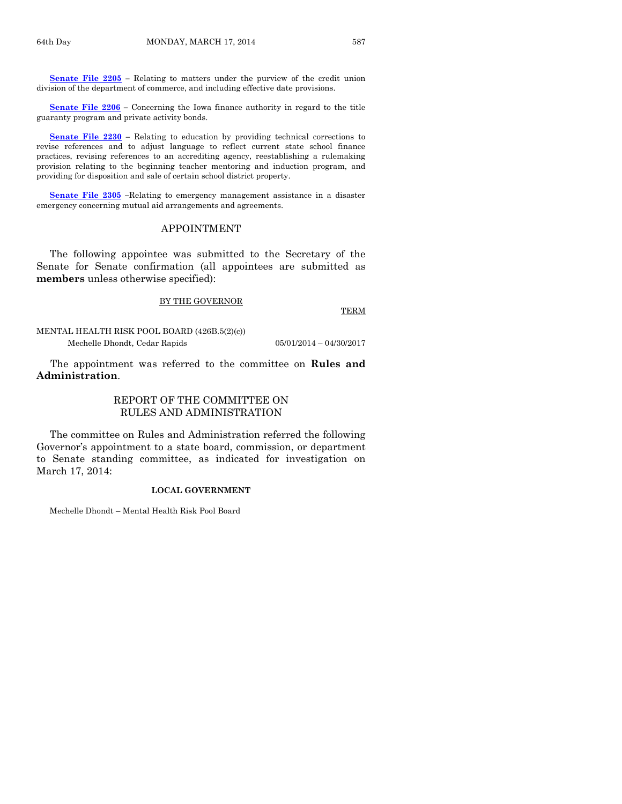**[Senate File 2205](http://coolice.legis.iowa.gov/Cool-ICE/default.asp?Category=billinfo&Service=Billbook&frame=1&GA=85&hbill=SF2205) –** Relating to matters under the purview of the credit union division of the department of commerce, and including effective date provisions.

**[Senate File 2206](http://coolice.legis.iowa.gov/Cool-ICE/default.asp?Category=billinfo&Service=Billbook&frame=1&GA=85&hbill=SF2206) –** Concerning the Iowa finance authority in regard to the title guaranty program and private activity bonds.

**[Senate File 2230](http://coolice.legis.iowa.gov/Cool-ICE/default.asp?Category=billinfo&Service=Billbook&frame=1&GA=85&hbill=SF2230) –** Relating to education by providing technical corrections to revise references and to adjust language to reflect current state school finance practices, revising references to an accrediting agency, reestablishing a rulemaking provision relating to the beginning teacher mentoring and induction program, and providing for disposition and sale of certain school district property.

**[Senate File 2305](http://coolice.legis.iowa.gov/Cool-ICE/default.asp?Category=billinfo&Service=Billbook&frame=1&GA=85&hbill=SF2305) –**Relating to emergency management assistance in a disaster emergency concerning mutual aid arrangements and agreements.

#### APPOINTMENT

The following appointee was submitted to the Secretary of the Senate for Senate confirmation (all appointees are submitted as **members** unless otherwise specified):

#### BY THE GOVERNOR

TERM

MENTAL HEALTH RISK POOL BOARD (426B.5(2)(c)) Mechelle Dhondt, Cedar Rapids 05/01/2014 – 04/30/2017

The appointment was referred to the committee on **Rules and Administration**.

# REPORT OF THE COMMITTEE ON RULES AND ADMINISTRATION

The committee on Rules and Administration referred the following Governor's appointment to a state board, commission, or department to Senate standing committee, as indicated for investigation on March 17, 2014:

#### **LOCAL GOVERNMENT**

Mechelle Dhondt – Mental Health Risk Pool Board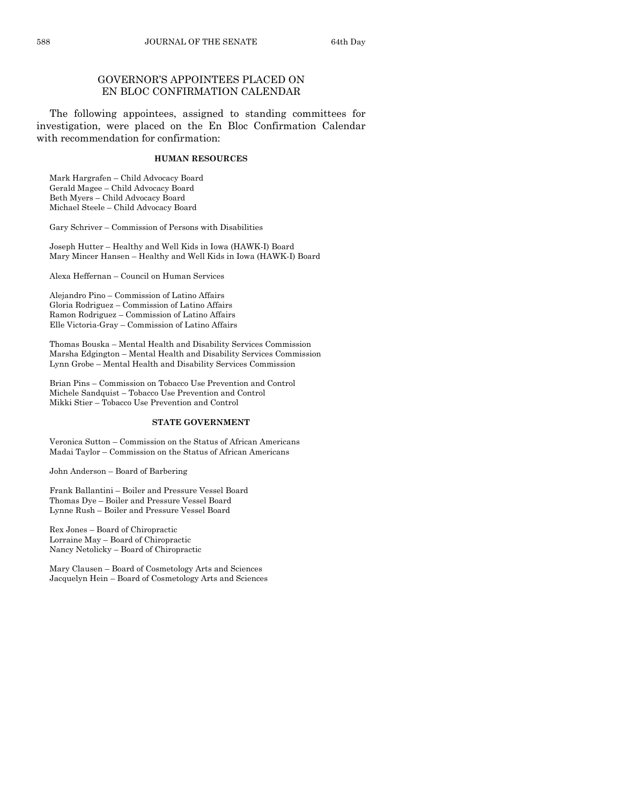# GOVERNOR'S APPOINTEES PLACED ON EN BLOC CONFIRMATION CALENDAR

The following appointees, assigned to standing committees for investigation, were placed on the En Bloc Confirmation Calendar with recommendation for confirmation:

#### **HUMAN RESOURCES**

Mark Hargrafen – Child Advocacy Board Gerald Magee – Child Advocacy Board Beth Myers – Child Advocacy Board Michael Steele – Child Advocacy Board

Gary Schriver – Commission of Persons with Disabilities

Joseph Hutter – Healthy and Well Kids in Iowa (HAWK-I) Board Mary Mincer Hansen – Healthy and Well Kids in Iowa (HAWK-I) Board

Alexa Heffernan – Council on Human Services

Alejandro Pino – Commission of Latino Affairs Gloria Rodriguez – Commission of Latino Affairs Ramon Rodriguez – Commission of Latino Affairs Elle Victoria-Gray – Commission of Latino Affairs

Thomas Bouska – Mental Health and Disability Services Commission Marsha Edgington – Mental Health and Disability Services Commission Lynn Grobe – Mental Health and Disability Services Commission

Brian Pins – Commission on Tobacco Use Prevention and Control Michele Sandquist – Tobacco Use Prevention and Control Mikki Stier – Tobacco Use Prevention and Control

#### **STATE GOVERNMENT**

Veronica Sutton – Commission on the Status of African Americans Madai Taylor – Commission on the Status of African Americans

John Anderson – Board of Barbering

Frank Ballantini – Boiler and Pressure Vessel Board Thomas Dye – Boiler and Pressure Vessel Board Lynne Rush – Boiler and Pressure Vessel Board

Rex Jones – Board of Chiropractic Lorraine May – Board of Chiropractic Nancy Netolicky – Board of Chiropractic

Mary Clausen – Board of Cosmetology Arts and Sciences Jacquelyn Hein – Board of Cosmetology Arts and Sciences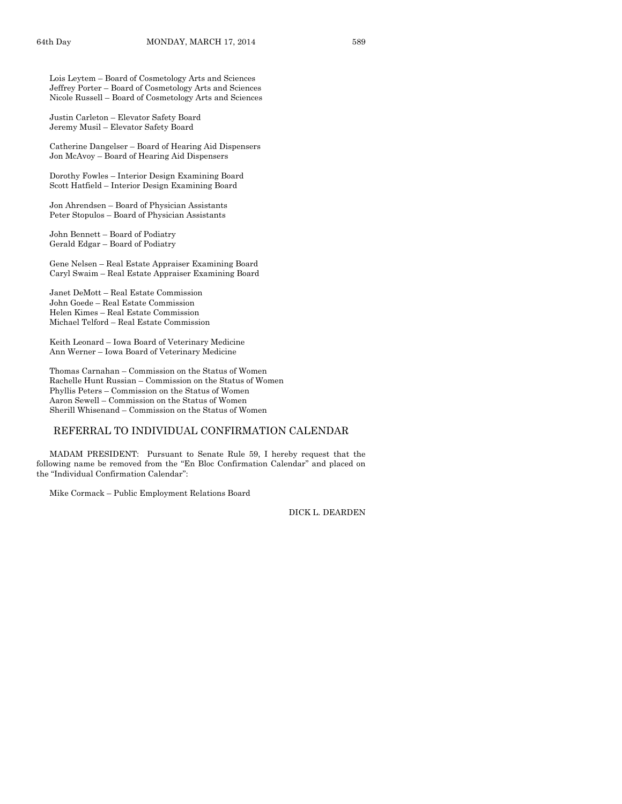Lois Leytem – Board of Cosmetology Arts and Sciences Jeffrey Porter – Board of Cosmetology Arts and Sciences Nicole Russell – Board of Cosmetology Arts and Sciences

Justin Carleton – Elevator Safety Board Jeremy Musil – Elevator Safety Board

Catherine Dangelser – Board of Hearing Aid Dispensers Jon McAvoy – Board of Hearing Aid Dispensers

Dorothy Fowles – Interior Design Examining Board Scott Hatfield – Interior Design Examining Board

Jon Ahrendsen – Board of Physician Assistants Peter Stopulos – Board of Physician Assistants

John Bennett – Board of Podiatry Gerald Edgar – Board of Podiatry

Gene Nelsen – Real Estate Appraiser Examining Board Caryl Swaim – Real Estate Appraiser Examining Board

Janet DeMott – Real Estate Commission John Goede – Real Estate Commission Helen Kimes – Real Estate Commission Michael Telford – Real Estate Commission

Keith Leonard – Iowa Board of Veterinary Medicine Ann Werner – Iowa Board of Veterinary Medicine

Thomas Carnahan – Commission on the Status of Women Rachelle Hunt Russian – Commission on the Status of Women Phyllis Peters – Commission on the Status of Women Aaron Sewell – Commission on the Status of Women Sherill Whisenand – Commission on the Status of Women

#### REFERRAL TO INDIVIDUAL CONFIRMATION CALENDAR

MADAM PRESIDENT: Pursuant to Senate Rule 59, I hereby request that the following name be removed from the "En Bloc Confirmation Calendar" and placed on the "Individual Confirmation Calendar":

Mike Cormack – Public Employment Relations Board

DICK L. DEARDEN